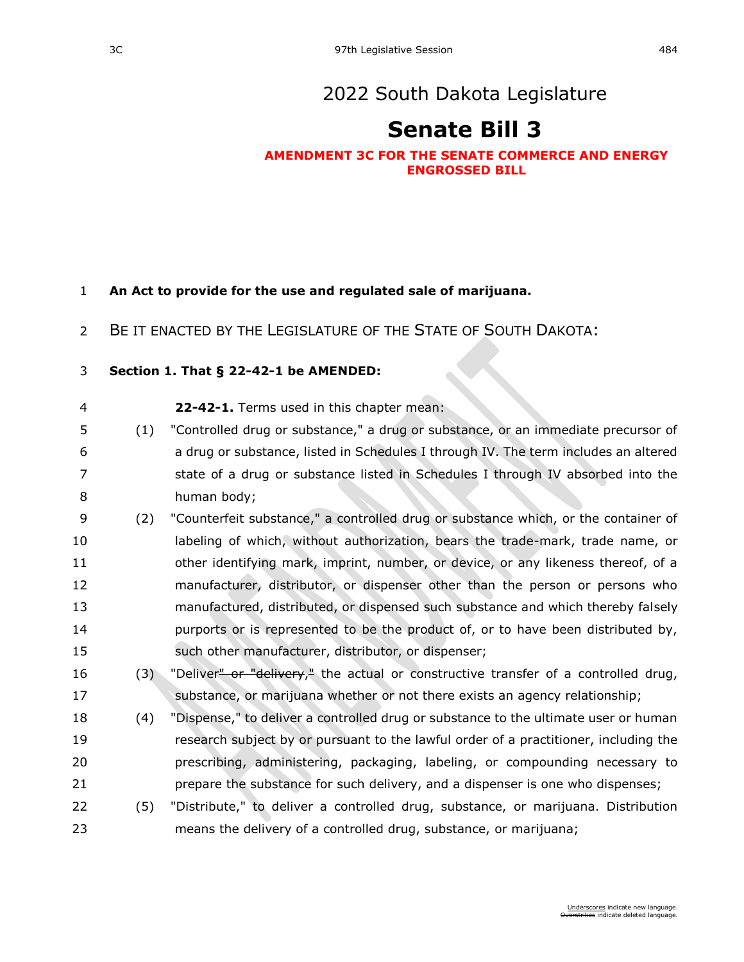# [2022 South Dakota Legislature](https://sdlegislature.gov/Session/Bills/64)

# **[Senate Bill 3](https://sdlegislature.gov/Session/Bill/22615)**

## **AMENDMENT 3C FOR THE SENATE COMMERCE AND ENERGY ENGROSSED BILL**

## **An Act to provide for the use and regulated sale of marijuana.**

BE IT ENACTED BY THE LEGISLATURE OF THE STATE OF SOUTH DAKOTA:

## **Section 1. [That § 22-42-1 be AMENDED:](https://sdlegislature.gov/Statutes?Statute=22-42-1)**

- **[22-42-1.](https://sdlegislature.gov/Statutes/Codified_Laws/DisplayStatute.aspx?Type=Statute&Statute=22-42-1)** Terms used in this chapter mean:
- (1) "Controlled drug or substance," a drug or substance, or an immediate precursor of a drug or substance, listed in Schedules I through IV. The term includes an altered 7 state of a drug or substance listed in Schedules I through IV absorbed into the human body;
- (2) "Counterfeit substance," a controlled drug or substance which, or the container of labeling of which, without authorization, bears the trade-mark, trade name, or other identifying mark, imprint, number, or device, or any likeness thereof, of a manufacturer, distributor, or dispenser other than the person or persons who manufactured, distributed, or dispensed such substance and which thereby falsely purports or is represented to be the product of, or to have been distributed by, such other manufacturer, distributor, or dispenser;
- 16 (3) "Deliver<del>" or "delivery</del>," the actual or constructive transfer of a controlled drug, substance, or marijuana whether or not there exists an agency relationship;
- (4) "Dispense," to deliver a controlled drug or substance to the ultimate user or human research subject by or pursuant to the lawful order of a practitioner, including the prescribing, administering, packaging, labeling, or compounding necessary to prepare the substance for such delivery, and a dispenser is one who dispenses;
- (5) "Distribute," to deliver a controlled drug, substance, or marijuana. Distribution means the delivery of a controlled drug, substance, or marijuana;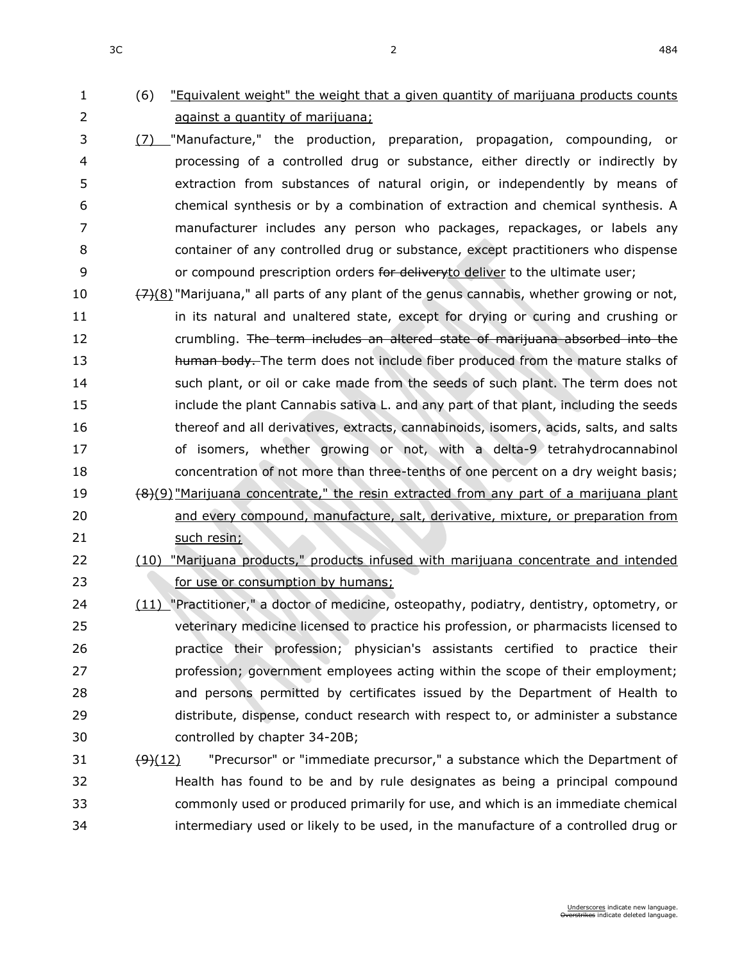# (6) "Equivalent weight" the weight that a given quantity of marijuana products counts against a quantity of marijuana;

- (7) "Manufacture," the production, preparation, propagation, compounding, or processing of a controlled drug or substance, either directly or indirectly by extraction from substances of natural origin, or independently by means of chemical synthesis or by a combination of extraction and chemical synthesis. A manufacturer includes any person who packages, repackages, or labels any container of any controlled drug or substance, except practitioners who dispense 9 or compound prescription orders for deliveryto deliver to the ultimate user;
- 10  $\frac{7}{2}(8)$  "Marijuana," all parts of any plant of the genus cannabis, whether growing or not, 11 in its natural and unaltered state, except for drying or curing and crushing or crumbling. The term includes an altered state of marijuana absorbed into the 13 human body. The term does not include fiber produced from the mature stalks of such plant, or oil or cake made from the seeds of such plant. The term does not include the plant Cannabis sativa L. and any part of that plant, including the seeds thereof and all derivatives, extracts, cannabinoids, isomers, acids, salts, and salts of isomers, whether growing or not, with a delta-9 tetrahydrocannabinol concentration of not more than three-tenths of one percent on a dry weight basis; 19  $\left(8\right)(9)$  "Marijuana concentrate," the resin extracted from any part of a marijuana plant and every compound, manufacture, salt, derivative, mixture, or preparation from 21 such resin;
- (10) "Marijuana products," products infused with marijuana concentrate and intended *consumption by humans;* for use or consumption by humans;
- (11) "Practitioner," a doctor of medicine, osteopathy, podiatry, dentistry, optometry, or veterinary medicine licensed to practice his profession, or pharmacists licensed to practice their profession; physician's assistants certified to practice their profession; government employees acting within the scope of their employment; and persons permitted by certificates issued by the Department of Health to distribute, dispense, conduct research with respect to, or administer a substance controlled by chapter [34-20B;](https://sdlegislature.gov/Statutes/Codified_Laws/DisplayStatute.aspx?Type=Statute&Statute=34-20B)
- 31  $\left(\frac{9}{12}\right)$  "Precursor" or "immediate precursor," a substance which the Department of Health has found to be and by rule designates as being a principal compound commonly used or produced primarily for use, and which is an immediate chemical intermediary used or likely to be used, in the manufacture of a controlled drug or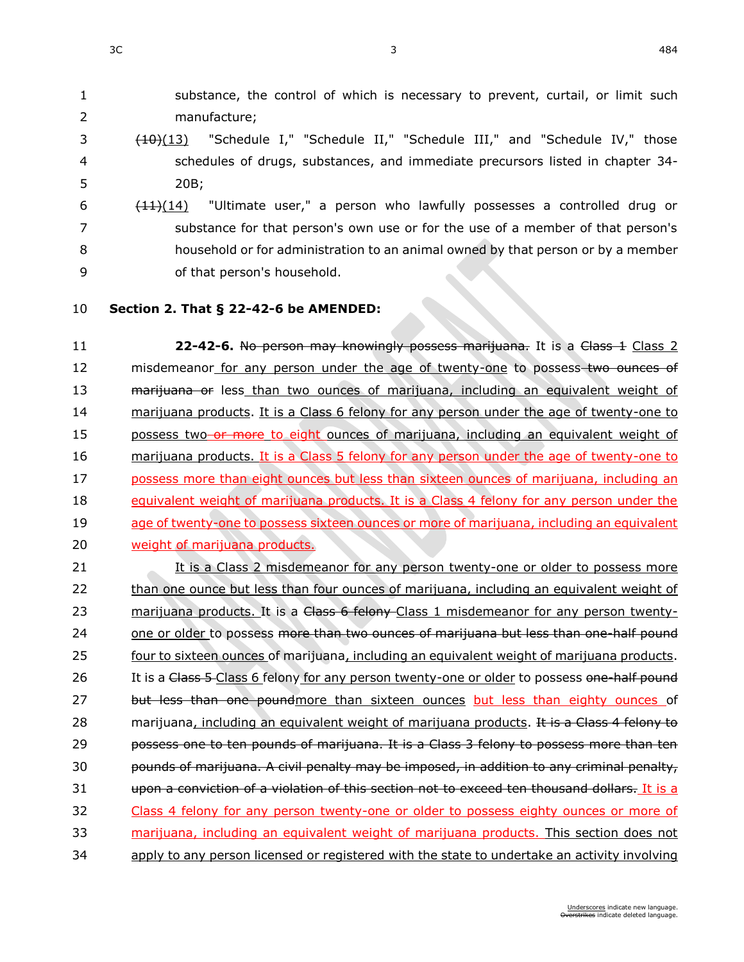1 substance, the control of which is necessary to prevent, curtail, or limit such 2 manufacture;

- 3 (10)(13) "Schedule I," "Schedule II," "Schedule III," and "Schedule IV," those 4 schedules of drugs, substances, and immediate precursors listed in chapter [34-](https://sdlegislature.gov/Statutes/Codified_Laws/DisplayStatute.aspx?Type=Statute&Statute=34-20B) 5 [20B;](https://sdlegislature.gov/Statutes/Codified_Laws/DisplayStatute.aspx?Type=Statute&Statute=34-20B)
- 6  $\left(11\right)(14)$  "Ultimate user," a person who lawfully possesses a controlled drug or 7 substance for that person's own use or for the use of a member of that person's 8 household or for administration to an animal owned by that person or by a member 9 of that person's household.
- 

### 10 **Section 2. [That § 22-42-6 be AMENDED:](https://sdlegislature.gov/Statutes?Statute=22-42-6)**

11 **22-42-6.** No person may knowingly possess marijuana. It is a Class 1 Class 2 12 misdemeanor for any person under the age of twenty-one to possess two ounces of 13 marijuana or less than two ounces of marijuana, including an equivalent weight of 14 marijuana products. It is a Class 6 felony for any person under the age of twenty-one to 15 possess two or more to eight ounces of marijuana, including an equivalent weight of 16 marijuana products. It is a Class 5 felony for any person under the age of twenty-one to 17 possess more than eight ounces but less than sixteen ounces of marijuana, including an 18 equivalent weight of marijuana products. It is a Class 4 felony for any person under the 19 age of twenty-one to possess sixteen ounces or more of marijuana, including an equivalent 20 weight of marijuana products.

21 It is a Class 2 misdemeanor for any person twenty-one or older to possess more 22 than one ounce but less than four ounces of marijuana, including an equivalent weight of 23 marijuana products. It is a Class 6 felony Class 1 misdemeanor for any person twenty-24 one or older to possess more than two ounces of marijuana but less than one-half pound 25 four to sixteen ounces of marijuana, including an equivalent weight of marijuana products. 26 It is a Class 5-Class 6 felony for any person twenty-one or older to possess one-half pound 27 but less than one poundmore than sixteen ounces but less than eighty ounces of 28 marijuana, including an equivalent weight of marijuana products. It is a Class 4 felony to 29 **possess one to ten pounds of marijuana. It is a Class 3 felony to possess more than ten** 30 pounds of marijuana. A civil penalty may be imposed, in addition to any criminal penalty, 31 upon a conviction of a violation of this section not to exceed ten thousand dollars. It is a 32 Class 4 felony for any person twenty-one or older to possess eighty ounces or more of 33 marijuana, including an equivalent weight of marijuana products. This section does not 34 apply to any person licensed or registered with the state to undertake an activity involving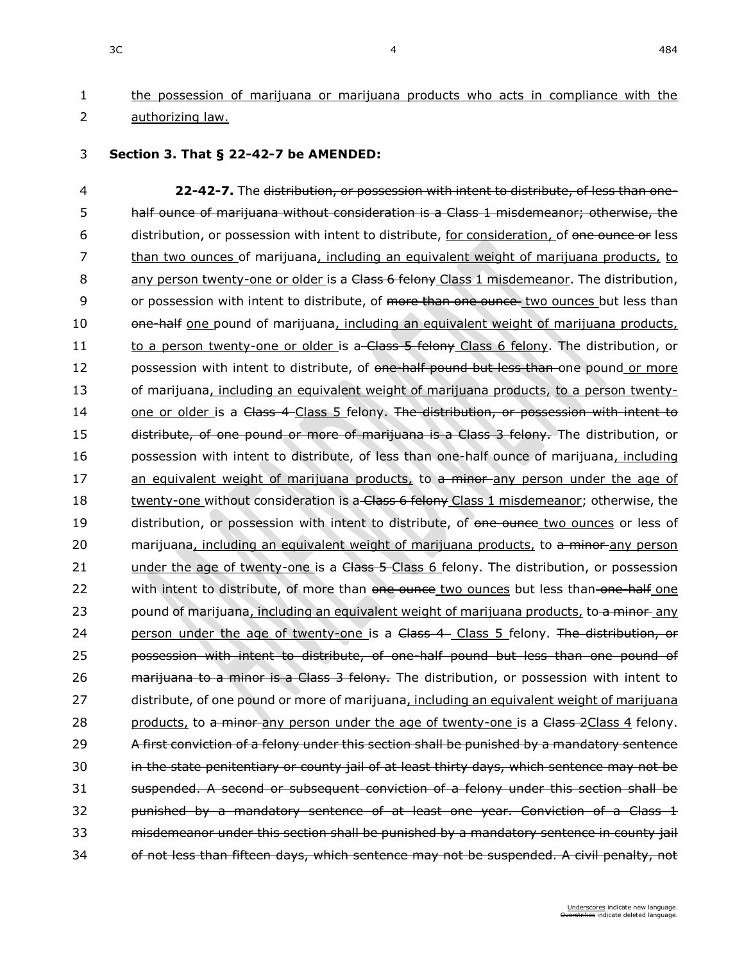# 1 the possession of marijuana or marijuana products who acts in compliance with the 2 authorizing law.

3 **Section 3. [That § 22-42-7 be AMENDED:](https://sdlegislature.gov/Statutes?Statute=22-42-7)**

4 **[22-42-7.](https://sdlegislature.gov/Statutes/Codified_Laws/DisplayStatute.aspx?Type=Statute&Statute=22-42-7)** The distribution, or possession with intent to distribute, of less than one-5 half ounce of marijuana without consideration is a Class 1 misdemeanor; otherwise, the 6 distribution, or possession with intent to distribute, for consideration, of one ounce or less 7 than two ounces of marijuana, including an equivalent weight of marijuana products, to 8 any person twenty-one or older is a Class 6 felony Class 1 misdemeanor. The distribution, 9 or possession with intent to distribute, of more than one ounces two ounces but less than 10 one-half one pound of marijuana, including an equivalent weight of marijuana products, 11 to a person twenty-one or older is a Class 5 felony Class 6 felony. The distribution, or 12 possession with intent to distribute, of one half pound but less than one pound or more 13 of marijuana, including an equivalent weight of marijuana products, to a person twenty-14 one or older is a Class 4 Class 5 felony. The distribution, or possession with intent to 15 distribute, of one pound or more of marijuana is a Class 3 felony. The distribution, or 16 possession with intent to distribute, of less than one-half ounce of marijuana, including 17 an equivalent weight of marijuana products, to a minor any person under the age of 18 twenty-one without consideration is a Class 6 felony Class 1 misdemeanor; otherwise, the 19 distribution, or possession with intent to distribute, of one ounce two ounces or less of 20 marijuana, including an equivalent weight of marijuana products, to a minor any person 21 under the age of twenty-one is a Class 5-Class 6 felony. The distribution, or possession 22 with intent to distribute, of more than one ounce two ounces but less than one half one 23 pound of marijuana, including an equivalent weight of marijuana products, to a minor any 24 person under the age of twenty-one is a Class 4 Class 5 felony. The distribution, or 25 **possession with intent to distribute, of one-half pound but less than one pound of** 26 **marijuana to a minor is a Class 3 felony.** The distribution, or possession with intent to 27 distribute, of one pound or more of marijuana, including an equivalent weight of marijuana 28 products, to a minor any person under the age of twenty-one is a Class 2Class 4 felony. 29 A first conviction of a felony under this section shall be punished by a mandatory sentence 30 in the state penitentiary or county jail of at least thirty days, which sentence may not be 31 suspended. A second or subsequent conviction of a felony under this section shall be 32 **punished by a mandatory sentence of at least one year. Conviction of a Class 1** 33 misdemeanor under this section shall be punished by a mandatory sentence in county jail 34 of not less than fifteen days, which sentence may not be suspended. A civil penalty, not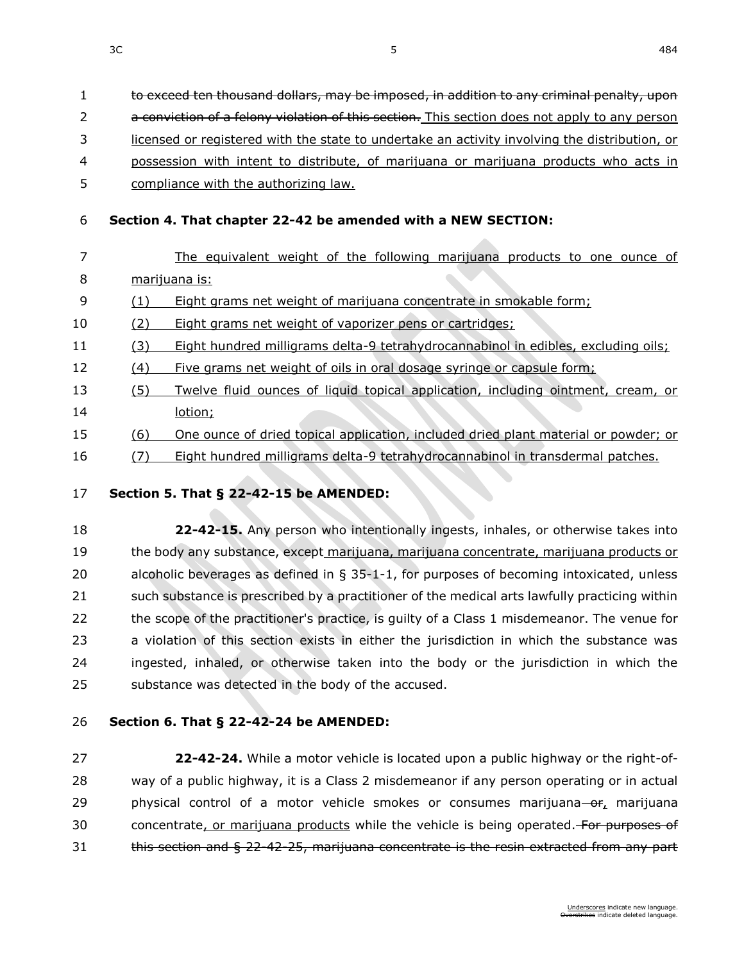to exceed ten thousand dollars, may be imposed, in addition to any criminal penalty, upon

2 a conviction of a felony violation of this section. This section does not apply to any person

licensed or registered with the state to undertake an activity involving the distribution, or

- possession with intent to distribute, of marijuana or marijuana products who acts in
- 5 compliance with the authorizing law.

## **Section 4. That chapter [22-42](https://sdlegislature.gov/Statutes?Statute=22-42) be amended with a NEW SECTION:**

- The equivalent weight of the following marijuana products to one ounce of marijuana is:
- (1) Eight grams net weight of marijuana concentrate in smokable form;
- (2) Eight grams net weight of vaporizer pens or cartridges;
- (3) Eight hundred milligrams delta-9 tetrahydrocannabinol in edibles, excluding oils;
- (4) Five grams net weight of oils in oral dosage syringe or capsule form;
- (5) Twelve fluid ounces of liquid topical application, including ointment, cream, or lotion;
- (6) One ounce of dried topical application, included dried plant material or powder; or
- (7) Eight hundred milligrams delta-9 tetrahydrocannabinol in transdermal patches.

### **Section 5. [That § 22-42-15 be AMENDED:](https://sdlegislature.gov/Statutes?Statute=22-42-15)**

 **[22-42-15.](https://sdlegislature.gov/Statutes/Codified_Laws/DisplayStatute.aspx?Type=Statute&Statute=22-42-15)** Any person who intentionally ingests, inhales, or otherwise takes into the body any substance, except marijuana, marijuana concentrate, marijuana products or alcoholic beverages as defined in § [35-1-1,](https://sdlegislature.gov/Statutes/Codified_Laws/DisplayStatute.aspx?Type=Statute&Statute=35-1-1) for purposes of becoming intoxicated, unless such substance is prescribed by a practitioner of the medical arts lawfully practicing within the scope of the practitioner's practice, is guilty of a Class 1 misdemeanor. The venue for a violation of this section exists in either the jurisdiction in which the substance was ingested, inhaled, or otherwise taken into the body or the jurisdiction in which the substance was detected in the body of the accused.

## **Section 6. [That § 22-42-24 be AMENDED:](https://sdlegislature.gov/Statutes?Statute=22-42-24)**

 **[22-42-24.](https://sdlegislature.gov/Statutes/Codified_Laws/DisplayStatute.aspx?Type=Statute&Statute=22-42-24)** While a motor vehicle is located upon a public highway or the right-of- way of a public highway, it is a Class 2 misdemeanor if any person operating or in actual 29 physical control of a motor vehicle smokes or consumes marijuana-or, marijuana 30 concentrate, or marijuana products while the vehicle is being operated. For purposes of 31 this section and § [22-42-25,](https://sdlegislature.gov/Statutes?Statute=22-42-25) marijuana concentrate is the resin extracted from any part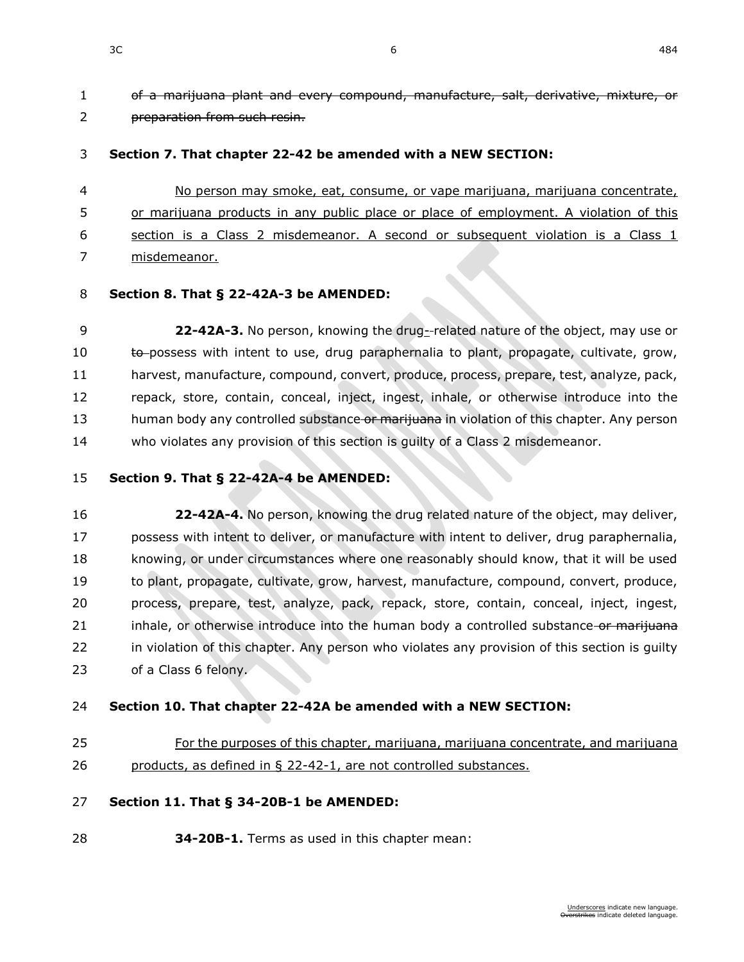of a marijuana plant and every compound, manufacture, salt, derivative, mixture, or preparation from such resin.

#### **Section 7. That chapter [22-42](https://sdlegislature.gov/Statutes?Statute=22-42) be amended with a NEW SECTION:**

 No person may smoke, eat, consume, or vape marijuana, marijuana concentrate, 5 or marijuana products in any public place or place of employment. A violation of this section is a Class 2 misdemeanor. A second or subsequent violation is a Class 1 misdemeanor.

#### **Section 8. [That § 22-42A-3 be AMENDED:](https://sdlegislature.gov/Statutes?Statute=22-42A-3)**

 **[22-42A-3.](https://sdlegislature.gov/Statutes/Codified_Laws/DisplayStatute.aspx?Type=Statute&Statute=22-42A-3)** No person, knowing the drug- related nature of the object, may use or 10 to possess with intent to use, drug paraphernalia to plant, propagate, cultivate, grow, harvest, manufacture, compound, convert, produce, process, prepare, test, analyze, pack, repack, store, contain, conceal, inject, ingest, inhale, or otherwise introduce into the 13 human body any controlled substance or marijuana in violation of this chapter. Any person who violates any provision of this section is guilty of a Class 2 misdemeanor.

#### **Section 9. [That § 22-42A-4 be AMENDED:](https://sdlegislature.gov/Statutes?Statute=22-42A-4)**

 **[22-42A-4.](https://sdlegislature.gov/Statutes/Codified_Laws/DisplayStatute.aspx?Type=Statute&Statute=22-42A-4)** No person, knowing the drug related nature of the object, may deliver, possess with intent to deliver, or manufacture with intent to deliver, drug paraphernalia, knowing, or under circumstances where one reasonably should know, that it will be used to plant, propagate, cultivate, grow, harvest, manufacture, compound, convert, produce, process, prepare, test, analyze, pack, repack, store, contain, conceal, inject, ingest, 21 inhale, or otherwise introduce into the human body a controlled substance or marijuana in violation of this chapter. Any person who violates any provision of this section is guilty of a Class 6 felony.

#### **Section 10. That chapter [22-42A](https://sdlegislature.gov/Statutes?Statute=22-42A) be amended with a NEW SECTION:**

 For the purposes of this chapter, marijuana, marijuana concentrate, and marijuana products, as defined in § [22-42-1,](https://sdlegislature.gov/Statutes?Statute=22-42-1) are not controlled substances.

#### **Section 11. [That § 34-20B-1 be AMENDED:](https://sdlegislature.gov/Statutes?Statute=34-20B-1)**

**[34-20B-1.](https://sdlegislature.gov/Statutes/Codified_Laws/DisplayStatute.aspx?Type=Statute&Statute=34-20B-1)** Terms as used in this chapter mean: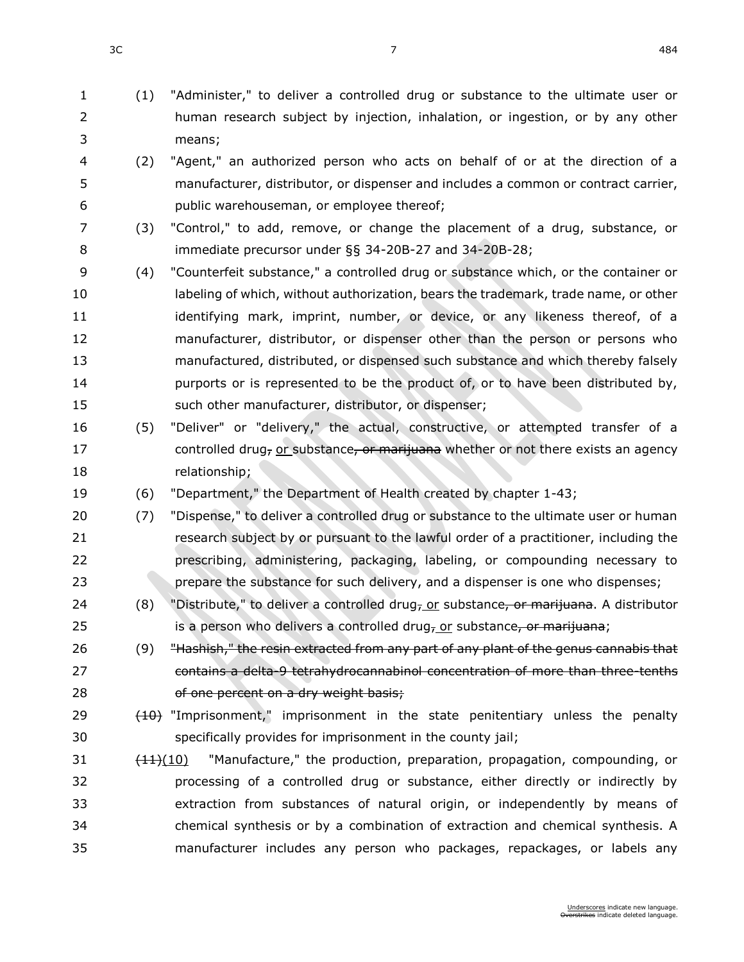- (1) "Administer," to deliver a controlled drug or substance to the ultimate user or human research subject by injection, inhalation, or ingestion, or by any other means;
- (2) "Agent," an authorized person who acts on behalf of or at the direction of a manufacturer, distributor, or dispenser and includes a common or contract carrier, public warehouseman, or employee thereof;
- (3) "Control," to add, remove, or change the placement of a drug, substance, or immediate precursor under §§ [34-20B-27](https://sdlegislature.gov/Statutes/Codified_Laws/DisplayStatute.aspx?Type=Statute&Statute=34-20B-27) and [34-20B-28;](https://sdlegislature.gov/Statutes/Codified_Laws/DisplayStatute.aspx?Type=Statute&Statute=34-20B-28)
- (4) "Counterfeit substance," a controlled drug or substance which, or the container or labeling of which, without authorization, bears the trademark, trade name, or other 11 identifying mark, imprint, number, or device, or any likeness thereof, of a manufacturer, distributor, or dispenser other than the person or persons who manufactured, distributed, or dispensed such substance and which thereby falsely 14 purports or is represented to be the product of, or to have been distributed by, such other manufacturer, distributor, or dispenser;
- (5) "Deliver" or "delivery," the actual, constructive, or attempted transfer of a 17 controlled drug<sub>r</sub> or substance, or marijuana whether or not there exists an agency relationship;
- (6) "Department," the Department of Health created by chapter [1-43;](https://sdlegislature.gov/Statutes/Codified_Laws/DisplayStatute.aspx?Type=Statute&Statute=1-43)
- (7) "Dispense," to deliver a controlled drug or substance to the ultimate user or human research subject by or pursuant to the lawful order of a practitioner, including the prescribing, administering, packaging, labeling, or compounding necessary to prepare the substance for such delivery, and a dispenser is one who dispenses;
- 24 (8) "Distribute," to deliver a controlled drug<sub>r</sub> or substance<del>, or marijuana</del>. A distributor 25 is a person who delivers a controlled drug<sub>7</sub> or substance, or marifuana;
- 26 (9) <del>"Hashish," the resin extracted from any part of any plant of the genus cannabis that</del> contains a delta-9 tetrahydrocannabinol concentration of more than three-tenths 28 of one percent on a dry weight basis;
- 29 (10) "Imprisonment," imprisonment in the state penitentiary unless the penalty specifically provides for imprisonment in the county jail;
- $\left(11\right)(10)$  "Manufacture," the production, preparation, propagation, compounding, or processing of a controlled drug or substance, either directly or indirectly by extraction from substances of natural origin, or independently by means of chemical synthesis or by a combination of extraction and chemical synthesis. A manufacturer includes any person who packages, repackages, or labels any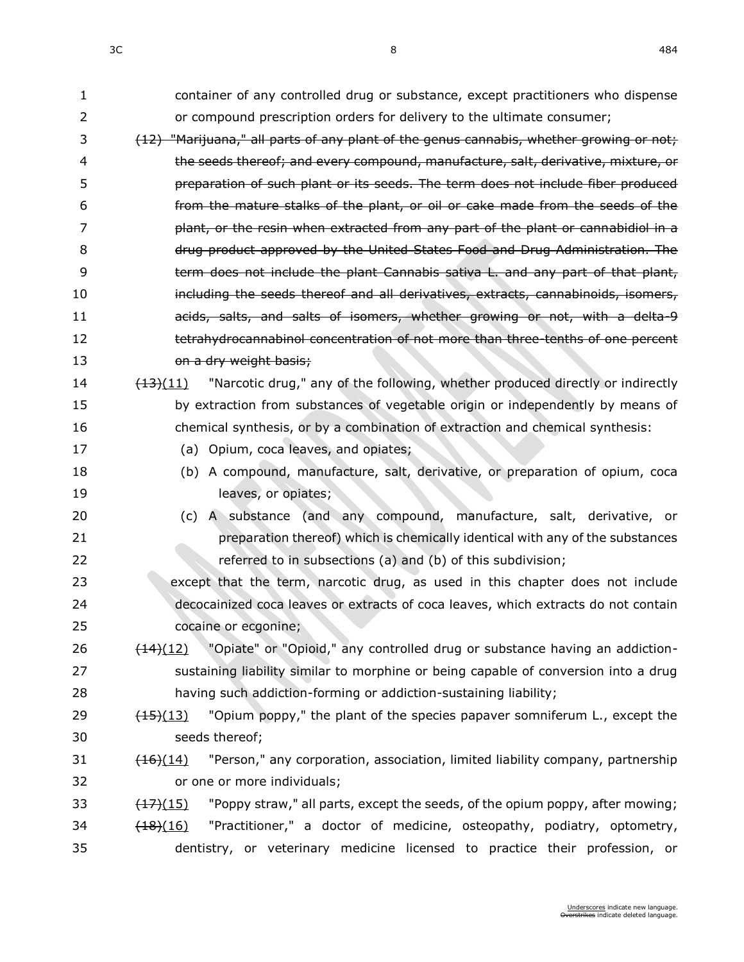| 1  | container of any controlled drug or substance, except practitioners who dispense                       |
|----|--------------------------------------------------------------------------------------------------------|
| 2  | or compound prescription orders for delivery to the ultimate consumer;                                 |
| 3  | (12) "Marijuana," all parts of any plant of the genus cannabis, whether growing or not;                |
| 4  | the seeds thereof; and every compound, manufacture, salt, derivative, mixture, or                      |
| 5  | preparation of such plant or its seeds. The term does not include fiber produced                       |
| 6  | from the mature stalks of the plant, or oil or cake made from the seeds of the                         |
| 7  | plant, or the resin when extracted from any part of the plant or cannabidiol in a                      |
| 8  | drug product approved by the United States Food and Drug Administration. The                           |
| 9  | term does not include the plant Cannabis sativa L. and any part of that plant,                         |
| 10 | including the seeds thereof and all derivatives, extracts, cannabinoids, isomers,                      |
| 11 | acids, salts, and salts of isomers, whether growing or not, with a delta-9                             |
| 12 | tetrahydrocannabinol concentration of not more than three tenths of one percent                        |
| 13 | on a dry weight basis;                                                                                 |
| 14 | "Narcotic drug," any of the following, whether produced directly or indirectly<br>$\frac{(13)(11)}{2}$ |
| 15 | by extraction from substances of vegetable origin or independently by means of                         |
| 16 | chemical synthesis, or by a combination of extraction and chemical synthesis:                          |
| 17 | (a) Opium, coca leaves, and opiates;                                                                   |
| 18 | (b) A compound, manufacture, salt, derivative, or preparation of opium, coca                           |
| 19 | leaves, or opiates;                                                                                    |
| 20 | (c) A substance (and any compound, manufacture, salt, derivative, or                                   |
| 21 | preparation thereof) which is chemically identical with any of the substances                          |
| 22 | referred to in subsections (a) and (b) of this subdivision;                                            |
| 23 | except that the term, narcotic drug, as used in this chapter does not include                          |
| 24 | decocainized coca leaves or extracts of coca leaves, which extracts do not contain                     |
| 25 | cocaine or ecgonine;                                                                                   |
| 26 | "Opiate" or "Opioid," any controlled drug or substance having an addiction-<br>$\frac{(14)(12)}{2}$    |
| 27 | sustaining liability similar to morphine or being capable of conversion into a drug                    |
| 28 | having such addiction-forming or addiction-sustaining liability;                                       |
| 29 | "Opium poppy," the plant of the species papaver somniferum L., except the<br>$\frac{(15)(13)}{2}$      |
| 30 | seeds thereof;                                                                                         |
| 31 | "Person," any corporation, association, limited liability company, partnership<br>$\frac{(16)(14)}{2}$ |
| 32 | or one or more individuals;                                                                            |
| 33 | "Poppy straw," all parts, except the seeds, of the opium poppy, after mowing;<br>$\frac{(17)(15)}{2}$  |
| 34 | "Practitioner," a doctor of medicine, osteopathy, podiatry, optometry,<br>$\frac{(18)(16)}{2}$         |
| 35 | dentistry, or veterinary medicine licensed to practice their profession, or                            |
|    |                                                                                                        |

 $3C$  and  $8$  and  $484$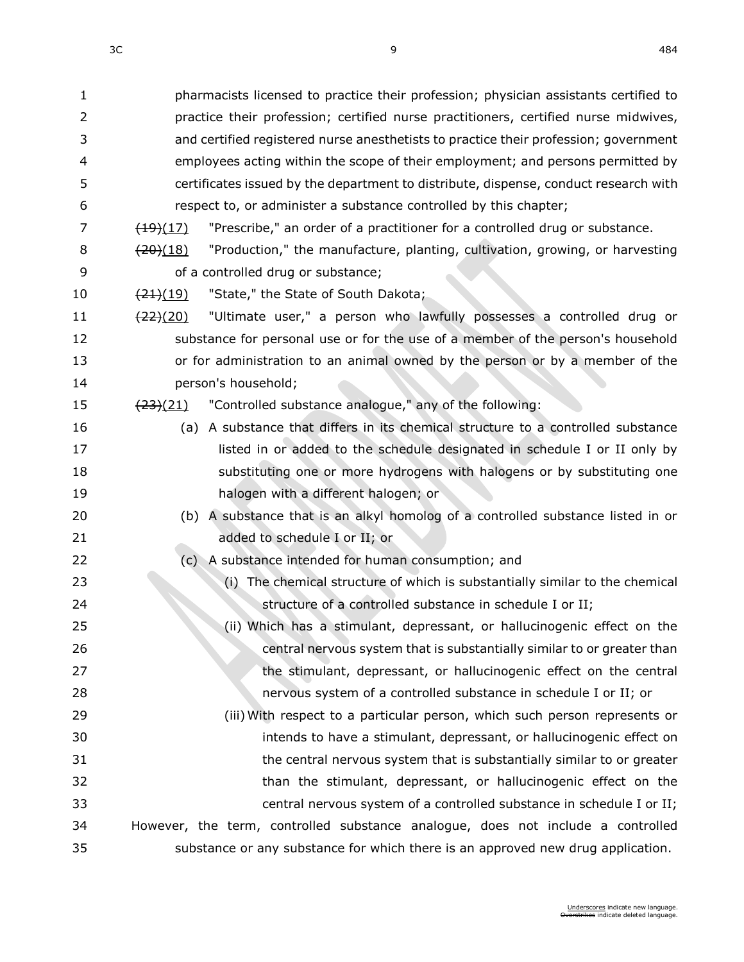| 1  | pharmacists licensed to practice their profession; physician assistants certified to                 |
|----|------------------------------------------------------------------------------------------------------|
| 2  | practice their profession; certified nurse practitioners, certified nurse midwives,                  |
| 3  | and certified registered nurse anesthetists to practice their profession; government                 |
| 4  | employees acting within the scope of their employment; and persons permitted by                      |
| 5  | certificates issued by the department to distribute, dispense, conduct research with                 |
| 6  | respect to, or administer a substance controlled by this chapter;                                    |
| 7  | "Prescribe," an order of a practitioner for a controlled drug or substance.<br>$\frac{(19)(17)}{2}$  |
| 8  | "Production," the manufacture, planting, cultivation, growing, or harvesting<br>$\frac{(20)(18)}{2}$ |
| 9  | of a controlled drug or substance;                                                                   |
| 10 | "State," the State of South Dakota;<br>$\frac{(21)(19)}{2}$                                          |
| 11 | "Ultimate user," a person who lawfully possesses a controlled drug or<br>$\frac{(22)(20)}{2}$        |
| 12 | substance for personal use or for the use of a member of the person's household                      |
| 13 | or for administration to an animal owned by the person or by a member of the                         |
| 14 | person's household;                                                                                  |
| 15 | "Controlled substance analogue," any of the following:<br>$\frac{(23)(21)}{2}$                       |
| 16 | (a) A substance that differs in its chemical structure to a controlled substance                     |
| 17 | listed in or added to the schedule designated in schedule I or II only by                            |
| 18 | substituting one or more hydrogens with halogens or by substituting one                              |
| 19 | halogen with a different halogen; or                                                                 |
| 20 | (b) A substance that is an alkyl homolog of a controlled substance listed in or                      |
| 21 | added to schedule I or II; or                                                                        |
| 22 | (c) A substance intended for human consumption; and                                                  |
| 23 | (i) The chemical structure of which is substantially similar to the chemical                         |
| 24 | structure of a controlled substance in schedule I or II;                                             |
| 25 | (ii) Which has a stimulant, depressant, or hallucinogenic effect on the                              |
| 26 | central nervous system that is substantially similar to or greater than                              |
| 27 | the stimulant, depressant, or hallucinogenic effect on the central                                   |
| 28 | nervous system of a controlled substance in schedule I or II; or                                     |
| 29 | (iii) With respect to a particular person, which such person represents or                           |
| 30 | intends to have a stimulant, depressant, or hallucinogenic effect on                                 |
| 31 | the central nervous system that is substantially similar to or greater                               |
| 32 | than the stimulant, depressant, or hallucinogenic effect on the                                      |
| 33 | central nervous system of a controlled substance in schedule I or II;                                |
| 34 | However, the term, controlled substance analogue, does not include a controlled                      |
| 35 | substance or any substance for which there is an approved new drug application.                      |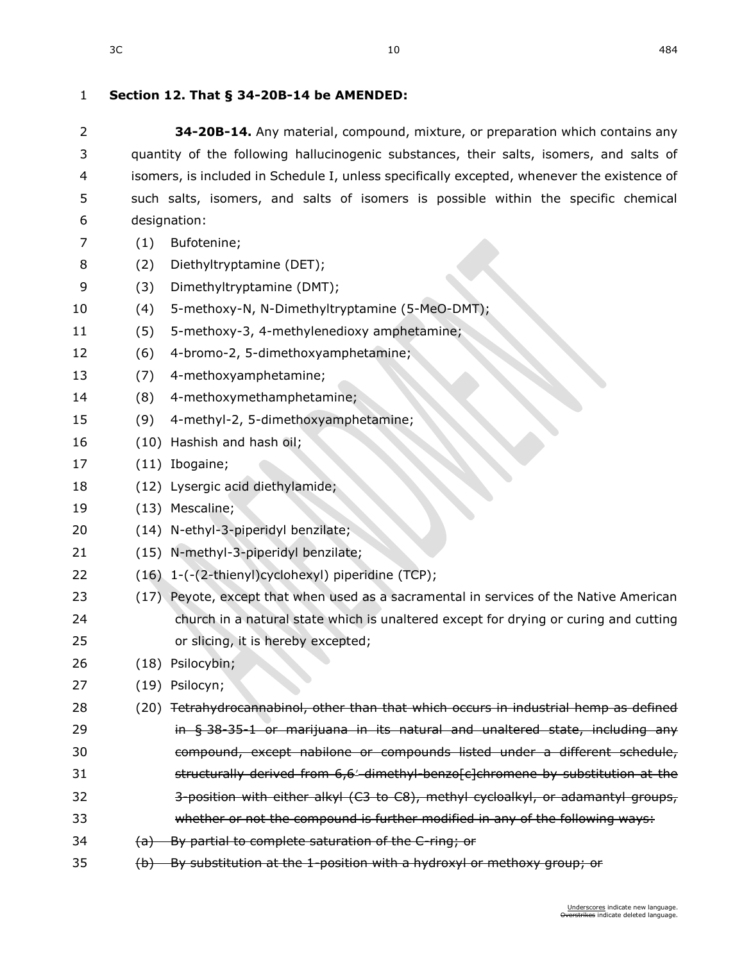## **Section 12. [That § 34-20B-14 be AMENDED:](https://sdlegislature.gov/Statutes?Statute=34-20B-14)**

| 2  | 34-20B-14. Any material, compound, mixture, or preparation which contains any               |
|----|---------------------------------------------------------------------------------------------|
| 3  | quantity of the following hallucinogenic substances, their salts, isomers, and salts of     |
| 4  | isomers, is included in Schedule I, unless specifically excepted, whenever the existence of |
| 5  | such salts, isomers, and salts of isomers is possible within the specific chemical          |
| 6  | designation:                                                                                |
| 7  | Bufotenine;<br>(1)                                                                          |
| 8  | Diethyltryptamine (DET);<br>(2)                                                             |
| 9  | Dimethyltryptamine (DMT);<br>(3)                                                            |
| 10 | 5-methoxy-N, N-Dimethyltryptamine (5-MeO-DMT);<br>(4)                                       |
| 11 | 5-methoxy-3, 4-methylenedioxy amphetamine;<br>(5)                                           |
| 12 | (6)<br>4-bromo-2, 5-dimethoxyamphetamine;                                                   |
| 13 | 4-methoxyamphetamine;<br>(7)                                                                |
| 14 | 4-methoxymethamphetamine;<br>(8)                                                            |
| 15 | 4-methyl-2, 5-dimethoxyamphetamine;<br>(9)                                                  |
| 16 | (10) Hashish and hash oil;                                                                  |
| 17 | $(11)$ Ibogaine;                                                                            |
| 18 | (12) Lysergic acid diethylamide;                                                            |
| 19 | (13) Mescaline;                                                                             |
| 20 | (14) N-ethyl-3-piperidyl benzilate;                                                         |
| 21 | (15) N-methyl-3-piperidyl benzilate;                                                        |
| 22 | (16) 1-(-(2-thienyl)cyclohexyl) piperidine (TCP);                                           |
| 23 | (17) Peyote, except that when used as a sacramental in services of the Native American      |
| 24 | church in a natural state which is unaltered except for drying or curing and cutting        |
| 25 | or slicing, it is hereby excepted;                                                          |
| 26 | (18) Psilocybin;                                                                            |
| 27 | (19) Psilocyn;                                                                              |
| 28 | Tetrahydrocannabinol, other than that which occurs in industrial hemp as defined<br>(20)    |
| 29 | in $\S$ 38-35-1 or marijuana in its natural and unaltered state, including any              |
| 30 | compound, except nabilone or compounds listed under a different schedule,                   |
| 31 | structurally derived from 6,6' dimethyl benzof c] chromene by substitution at the           |
| 32 | 3-position with either alkyl (C3 to C8), methyl cycloalkyl, or adamantyl groups,            |
| 33 | whether or not the compound is further modified in any of the following ways:               |
| 34 | By partial to complete saturation of the C-ring; or<br><del>(a)</del>                       |
| 35 | By substitution at the 1-position with a hydroxyl or methoxy group; or<br>$\Theta$          |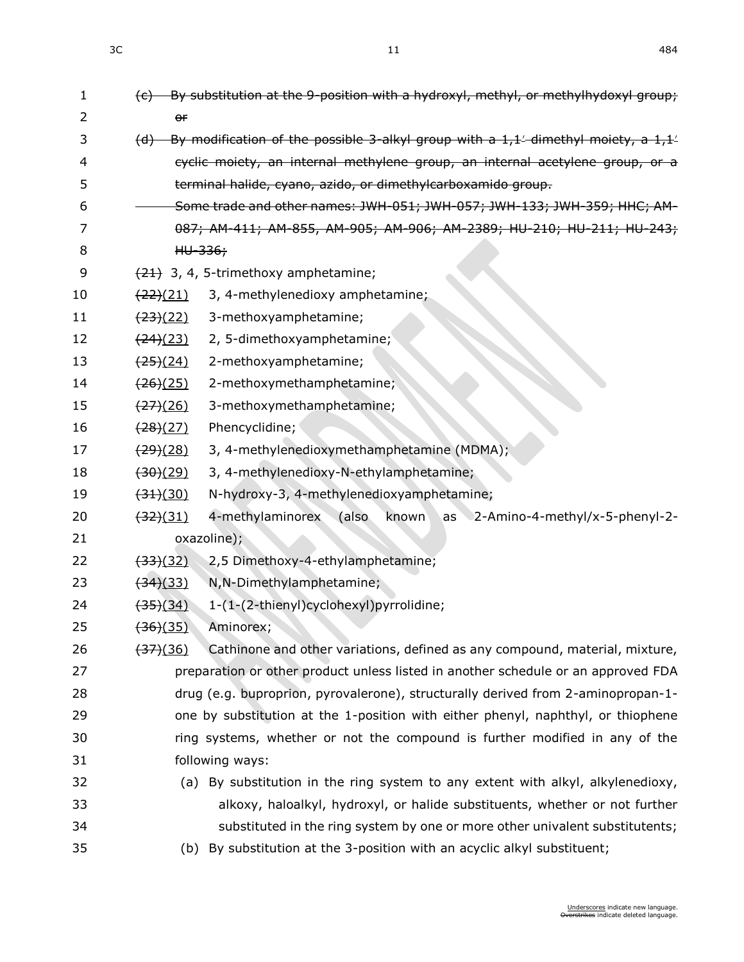| 1  | $(c)$ By substitution at the 9-position with a hydroxyl, methyl, or methylhydoxyl group;             |
|----|------------------------------------------------------------------------------------------------------|
| 2  | $\theta$ f                                                                                           |
| 3  | (d) By modification of the possible 3-alkyl group with a $1,1/$ dimethyl moiety, a $1,1/$            |
| 4  | cyclic moiety, an internal methylene group, an internal acetylene group, or a                        |
| 5  | terminal halide, cyano, azido, or dimethylcarboxamido group.                                         |
| 6  | Some trade and other names: JWH-051; JWH-057; JWH-133; JWH-359; HHC; AM-                             |
| 7  | 087; AM-411; AM-855, AM-905; AM-906; AM-2389; HU-210; HU-211; HU-243;                                |
| 8  | $HU-336;$                                                                                            |
| 9  | $(21)$ 3, 4, 5-trimethoxy amphetamine;                                                               |
| 10 | $\frac{(22)(21)}{2}$<br>3, 4-methylenedioxy amphetamine;                                             |
| 11 | <del>(23)</del> (22)<br>3-methoxyamphetamine;                                                        |
| 12 | (24)(23)<br>2, 5-dimethoxyamphetamine;                                                               |
| 13 | $\frac{(25)(24)}{25}$<br>2-methoxyamphetamine;                                                       |
| 14 | $\frac{(26)(25)}{2}$<br>2-methoxymethamphetamine;                                                    |
| 15 | $\frac{(27)}{(26)}$<br>3-methoxymethamphetamine;                                                     |
| 16 | Phencyclidine;<br>$\frac{(28)(27)}{2}$                                                               |
| 17 | 3, 4-methylenedioxymethamphetamine (MDMA);<br>$\frac{(29)(28)}{2}$                                   |
| 18 | 3, 4-methylenedioxy-N-ethylamphetamine;<br>$\left(30\right)\left(29\right)$                          |
| 19 | N-hydroxy-3, 4-methylenedioxyamphetamine;<br>$\left(34\right)\left(30\right)$                        |
| 20 | 4-methylaminorex<br>(also<br>known<br>$\frac{(32)(31)}{2}$<br>as 2-Amino-4-methyl/x-5-phenyl-2-      |
| 21 | oxazoline);                                                                                          |
| 22 | $\frac{(33)(32)}{2}$<br>2,5 Dimethoxy-4-ethylamphetamine;                                            |
| 23 | <del>(34)</del> (33)<br>N, N-Dimethylamphetamine;                                                    |
| 24 | 1-(1-(2-thienyl)cyclohexyl)pyrrolidine;<br>$\frac{(35)(34)}{2}$                                      |
| 25 | $\left(36\right)(35)$<br>Aminorex;                                                                   |
| 26 | Cathinone and other variations, defined as any compound, material, mixture,<br>$\left(37\right)(36)$ |
| 27 | preparation or other product unless listed in another schedule or an approved FDA                    |
| 28 | drug (e.g. buproprion, pyrovalerone), structurally derived from 2-aminopropan-1-                     |
| 29 | one by substitution at the 1-position with either phenyl, naphthyl, or thiophene                     |
| 30 | ring systems, whether or not the compound is further modified in any of the                          |
| 31 | following ways:                                                                                      |
| 32 | (a) By substitution in the ring system to any extent with alkyl, alkylenedioxy,                      |
| 33 | alkoxy, haloalkyl, hydroxyl, or halide substituents, whether or not further                          |
| 34 | substituted in the ring system by one or more other univalent substitutents;                         |
| 35 | (b) By substitution at the 3-position with an acyclic alkyl substituent;                             |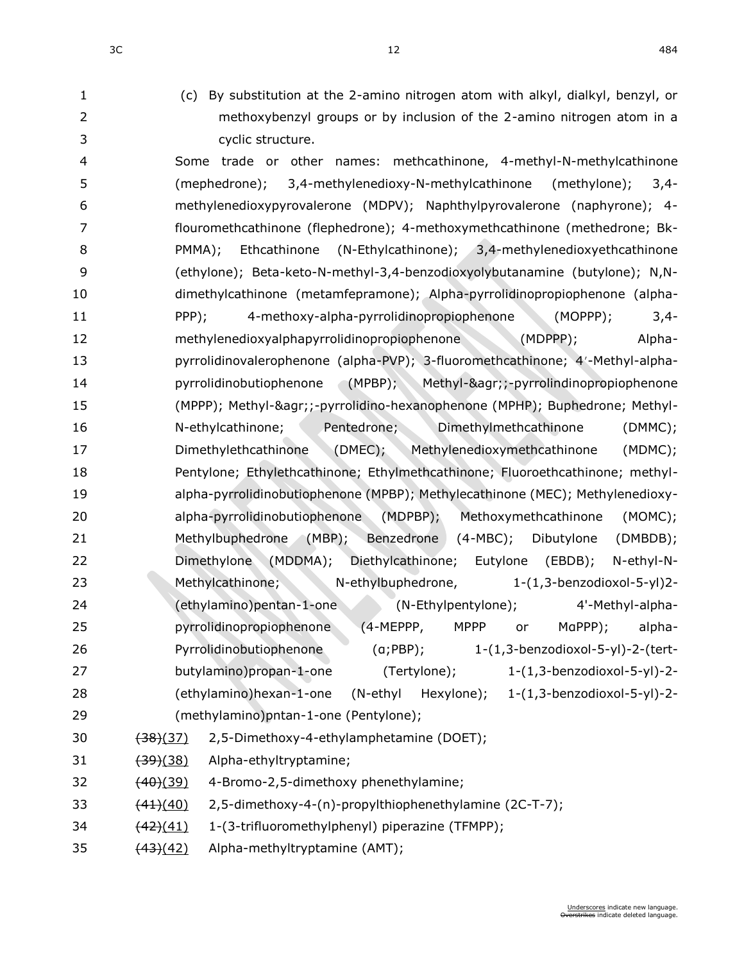- 
- (c) By substitution at the 2-amino nitrogen atom with alkyl, dialkyl, benzyl, or methoxybenzyl groups or by inclusion of the 2-amino nitrogen atom in a cyclic structure.

 Some trade or other names: methcathinone, 4-methyl-N-methylcathinone (mephedrone); 3,4-methylenedioxy-N-methylcathinone (methylone); 3,4- methylenedioxypyrovalerone (MDPV); Naphthylpyrovalerone (naphyrone); 4- flouromethcathinone (flephedrone); 4-methoxymethcathinone (methedrone; Bk- PMMA); Ethcathinone (N-Ethylcathinone); 3,4-methylenedioxyethcathinone (ethylone); Beta-keto-N-methyl-3,4-benzodioxyolybutanamine (butylone); N,N- dimethylcathinone (metamfepramone); Alpha-pyrrolidinopropiophenone (alpha- PPP); 4-methoxy-alpha-pyrrolidinopropiophenone (MOPPP); 3,4- methylenedioxyalphapyrrolidinopropiophenone (MDPPP); Alpha-13 pyrrolidinovalerophenone (alpha-PVP); 3-fluoromethcathinone; 4'-Methyl-alpha- pyrrolidinobutiophenone (MPBP); Methyl-&agr;;-pyrrolindinopropiophenone (MPPP); Methyl-&agr;;-pyrrolidino-hexanophenone (MPHP); Buphedrone; Methyl- N-ethylcathinone; Pentedrone; Dimethylmethcathinone (DMMC); Dimethylethcathinone (DMEC); Methylenedioxymethcathinone (MDMC); Pentylone; Ethylethcathinone; Ethylmethcathinone; Fluoroethcathinone; methyl- alpha-pyrrolidinobutiophenone (MPBP); Methylecathinone (MEC); Methylenedioxy- alpha-pyrrolidinobutiophenone (MDPBP); Methoxymethcathinone (MOMC); Methylbuphedrone (MBP); Benzedrone (4-MBC); Dibutylone (DMBDB); Dimethylone (MDDMA); Diethylcathinone; Eutylone (EBDB); N-ethyl-N- Methylcathinone; N-ethylbuphedrone, 1-(1,3-benzodioxol-5-yl)2- (ethylamino)pentan-1-one (N-Ethylpentylone); 4'-Methyl-alpha- pyrrolidinopropiophenone (4-MEPPP, MPPP or MαPPP); alpha- Pyrrolidinobutiophenone (α;PBP); 1-(1,3-benzodioxol-5-yl)-2-(tert- butylamino)propan-1-one (Tertylone); 1-(1,3-benzodioxol-5-yl)-2- (ethylamino)hexan-1-one (N-ethyl Hexylone); 1-(1,3-benzodioxol-5-yl)-2- (methylamino)pntan-1-one (Pentylone); (38)(37) 2,5-Dimethoxy-4-ethylamphetamine (DOET);

- 31 (39)(38) Alpha-ethyltryptamine;
- 32  $(40)(39)$  4-Bromo-2,5-dimethoxy phenethylamine;
- 33 (44)(40) 2,5-dimethoxy-4-(n)-propylthiophenethylamine (2C-T-7);
- 34 (42)(41) 1-(3-trifluoromethylphenyl) piperazine (TFMPP);
- 35  $(43)(42)$  Alpha-methyltryptamine (AMT);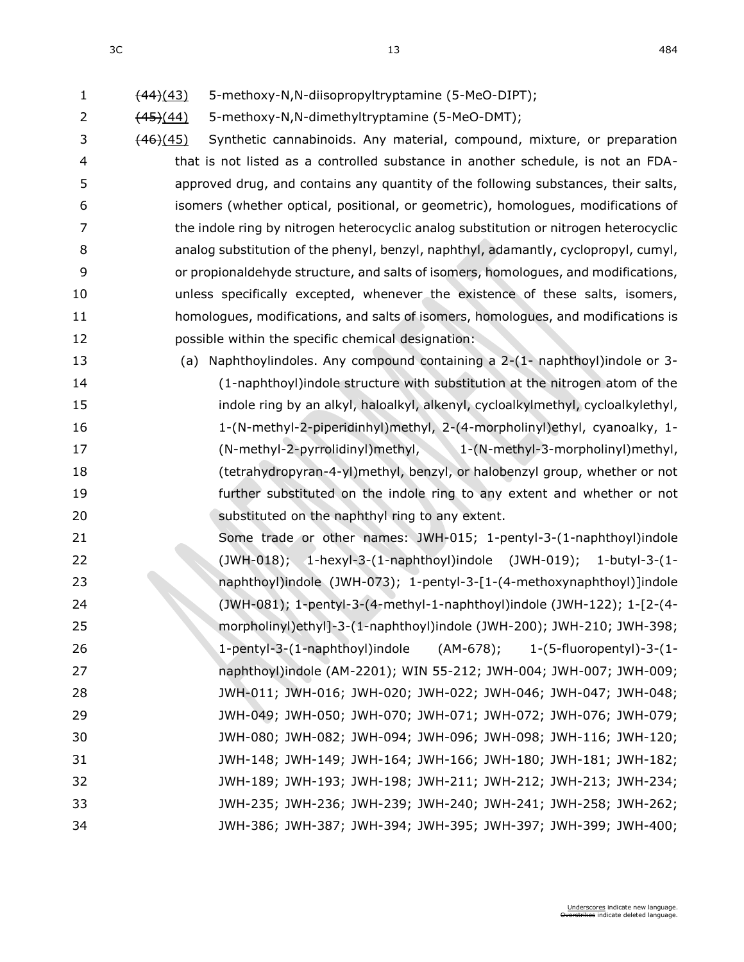2 (45)(44) 5-methoxy-N,N-dimethyltryptamine (5-MeO-DMT);

3 (46)(45) Synthetic cannabinoids. Any material, compound, mixture, or preparation that is not listed as a controlled substance in another schedule, is not an FDA- approved drug, and contains any quantity of the following substances, their salts, isomers (whether optical, positional, or geometric), homologues, modifications of the indole ring by nitrogen heterocyclic analog substitution or nitrogen heterocyclic analog substitution of the phenyl, benzyl, naphthyl, adamantly, cyclopropyl, cumyl, or propionaldehyde structure, and salts of isomers, homologues, and modifications, unless specifically excepted, whenever the existence of these salts, isomers, homologues, modifications, and salts of isomers, homologues, and modifications is possible within the specific chemical designation:

 (a) Naphthoylindoles. Any compound containing a 2-(1- naphthoyl)indole or 3- (1-naphthoyl)indole structure with substitution at the nitrogen atom of the indole ring by an alkyl, haloalkyl, alkenyl, cycloalkylmethyl, cycloalkylethyl, 1-(N-methyl-2-piperidinhyl)methyl, 2-(4-morpholinyl)ethyl, cyanoalky, 1- (N-methyl-2-pyrrolidinyl)methyl, 1-(N-methyl-3-morpholinyl)methyl, (tetrahydropyran-4-yl)methyl, benzyl, or halobenzyl group, whether or not further substituted on the indole ring to any extent and whether or not **Substituted on the naphthyl ring to any extent.** 

 Some trade or other names: JWH-015; 1-pentyl-3-(1-naphthoyl)indole (JWH-018); 1-hexyl-3-(1-naphthoyl)indole (JWH-019); 1-butyl-3-(1- naphthoyl)indole (JWH-073); 1-pentyl-3-[1-(4-methoxynaphthoyl)]indole (JWH-081); 1-pentyl-3-(4-methyl-1-naphthoyl)indole (JWH-122); 1-[2-(4- morpholinyl)ethyl]-3-(1-naphthoyl)indole (JWH-200); JWH-210; JWH-398; 1-pentyl-3-(1-naphthoyl)indole (AM-678); 1-(5-fluoropentyl)-3-(1- naphthoyl)indole (AM-2201); WIN 55-212; JWH-004; JWH-007; JWH-009; JWH-011; JWH-016; JWH-020; JWH-022; JWH-046; JWH-047; JWH-048; JWH-049; JWH-050; JWH-070; JWH-071; JWH-072; JWH-076; JWH-079; JWH-080; JWH-082; JWH-094; JWH-096; JWH-098; JWH-116; JWH-120; JWH-148; JWH-149; JWH-164; JWH-166; JWH-180; JWH-181; JWH-182; JWH-189; JWH-193; JWH-198; JWH-211; JWH-212; JWH-213; JWH-234; JWH-235; JWH-236; JWH-239; JWH-240; JWH-241; JWH-258; JWH-262; JWH-386; JWH-387; JWH-394; JWH-395; JWH-397; JWH-399; JWH-400;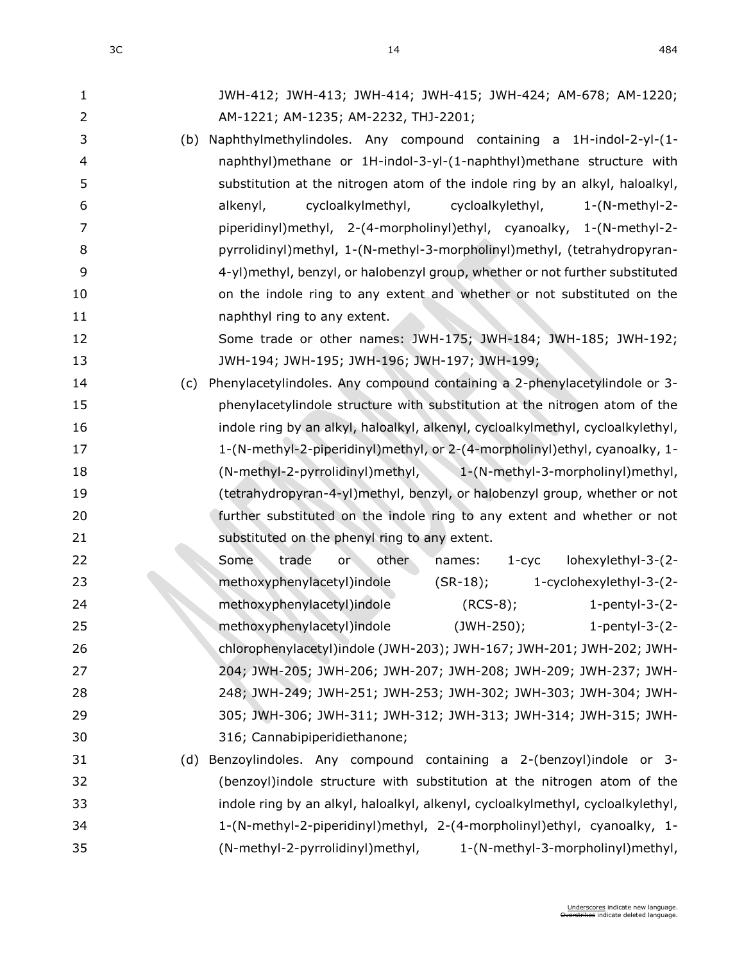| 1              | JWH-412; JWH-413; JWH-414; JWH-415; JWH-424; AM-678; AM-1220;                    |
|----------------|----------------------------------------------------------------------------------|
| $\overline{2}$ | AM-1221; AM-1235; AM-2232, THJ-2201;                                             |
| 3              | (b) Naphthylmethylindoles. Any compound containing a 1H-indol-2-yl-(1-           |
| 4              | naphthyl)methane or 1H-indol-3-yl-(1-naphthyl)methane structure with             |
| 5              | substitution at the nitrogen atom of the indole ring by an alkyl, haloalkyl,     |
| 6              | alkenyl,<br>cycloalkylmethyl,<br>cycloalkylethyl,<br>$1-(N-methyl-2-$            |
| 7              | piperidinyl)methyl, 2-(4-morpholinyl)ethyl, cyanoalky, 1-(N-methyl-2-            |
| 8              | pyrrolidinyl)methyl, 1-(N-methyl-3-morpholinyl)methyl, (tetrahydropyran-         |
| 9              | 4-yl)methyl, benzyl, or halobenzyl group, whether or not further substituted     |
| 10             | on the indole ring to any extent and whether or not substituted on the           |
| 11             | naphthyl ring to any extent.                                                     |
| 12             | Some trade or other names: JWH-175; JWH-184; JWH-185; JWH-192;                   |
| 13             | JWH-194; JWH-195; JWH-196; JWH-197; JWH-199;                                     |
| 14             | Phenylacetylindoles. Any compound containing a 2-phenylacetylindole or 3-<br>(c) |
| 15             | phenylacetylindole structure with substitution at the nitrogen atom of the       |
| 16             | indole ring by an alkyl, haloalkyl, alkenyl, cycloalkylmethyl, cycloalkylethyl,  |
| 17             | 1-(N-methyl-2-piperidinyl)methyl, or 2-(4-morpholinyl)ethyl, cyanoalky, 1-       |
| 18             | (N-methyl-2-pyrrolidinyl)methyl, 1-(N-methyl-3-morpholinyl)methyl,               |
| 19             | (tetrahydropyran-4-yl)methyl, benzyl, or halobenzyl group, whether or not        |
| 20             | further substituted on the indole ring to any extent and whether or not          |
| 21             | substituted on the phenyl ring to any extent.                                    |
| 22             | lohexylethyl-3-(2-<br>Some<br>trade<br>other<br>or<br>names:<br>$1 - cyc$        |
| 23             | methoxyphenylacetyl)indole<br>1-cyclohexylethyl-3-(2-<br>$(SR-18);$              |
| 24             | methoxyphenylacetyl)indole<br>$(RCS-8);$<br>1-pentyl-3- $(2-$                    |
| 25             | methoxyphenylacetyl)indole<br>(JWH-250);<br>-1-pentyl-3-(2                       |
| 26             | chlorophenylacetyl)indole (JWH-203); JWH-167; JWH-201; JWH-202; JWH-             |
| 27             | 204; JWH-205; JWH-206; JWH-207; JWH-208; JWH-209; JWH-237; JWH-                  |
| 28             | 248; JWH-249; JWH-251; JWH-253; JWH-302; JWH-303; JWH-304; JWH-                  |
| 29             | 305; JWH-306; JWH-311; JWH-312; JWH-313; JWH-314; JWH-315; JWH-                  |
| 30             | 316; Cannabipiperidiethanone;                                                    |
| 31             | Benzoylindoles. Any compound containing a 2-(benzoyl)indole or 3-<br>(d)         |
| 32             | (benzoyl)indole structure with substitution at the nitrogen atom of the          |
| 33             | indole ring by an alkyl, haloalkyl, alkenyl, cycloalkylmethyl, cycloalkylethyl,  |
| 34             | 1-(N-methyl-2-piperidinyl)methyl, 2-(4-morpholinyl)ethyl, cyanoalky, 1-          |
| 35             | (N-methyl-2-pyrrolidinyl)methyl,<br>1-(N-methyl-3-morpholinyl)methyl,            |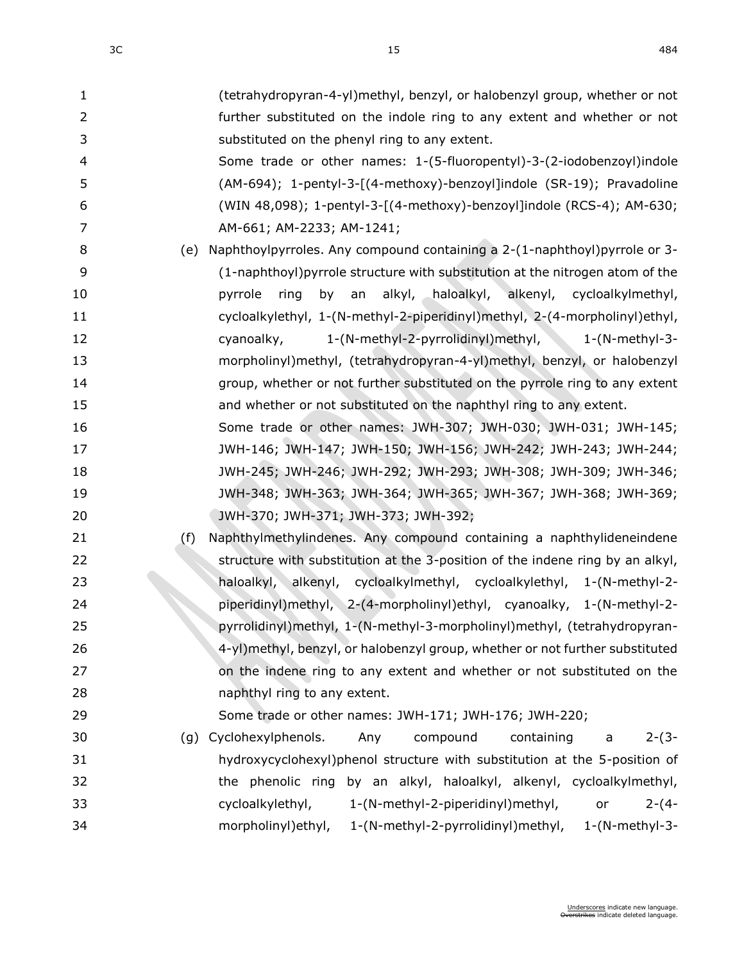| $\mathbf{1}$   | (tetrahydropyran-4-yl)methyl, benzyl, or halobenzyl group, whether or not     |
|----------------|-------------------------------------------------------------------------------|
| $\overline{2}$ | further substituted on the indole ring to any extent and whether or not       |
| 3              | substituted on the phenyl ring to any extent.                                 |
| $\overline{4}$ | Some trade or other names: 1-(5-fluoropentyl)-3-(2-iodobenzoyl)indole         |
| 5              | (AM-694); 1-pentyl-3-[(4-methoxy)-benzoyl]indole (SR-19); Pravadoline         |
| 6              | (WIN 48,098); 1-pentyl-3-[(4-methoxy)-benzoyl]indole (RCS-4); AM-630;         |
| 7              | AM-661; AM-2233; AM-1241;                                                     |
| 8              | (e) Naphthoylpyrroles. Any compound containing a 2-(1-naphthoyl)pyrrole or 3- |
| 9              | (1-naphthoyl) pyrrole structure with substitution at the nitrogen atom of the |
| 10             | by an<br>alkyl, haloalkyl, alkenyl, cycloalkylmethyl,<br>pyrrole<br>ring      |
| 11             | cycloalkylethyl, 1-(N-methyl-2-piperidinyl)methyl, 2-(4-morpholinyl)ethyl,    |
| 12             | 1-(N-methyl-2-pyrrolidinyl)methyl, 1-(N-methyl-3-<br>cyanoalky,               |
| 13             | morpholinyl)methyl, (tetrahydropyran-4-yl)methyl, benzyl, or halobenzyl       |
| 14             | group, whether or not further substituted on the pyrrole ring to any extent   |
| 15             | and whether or not substituted on the naphthyl ring to any extent.            |
| 16             | Some trade or other names: JWH-307; JWH-030; JWH-031; JWH-145;                |
| 17             | JWH-146; JWH-147; JWH-150; JWH-156; JWH-242; JWH-243; JWH-244;                |
| 18             | JWH-245; JWH-246; JWH-292; JWH-293; JWH-308; JWH-309; JWH-346;                |
| 19             | JWH-348; JWH-363; JWH-364; JWH-365; JWH-367; JWH-368; JWH-369;                |
| 20             | JWH-370; JWH-371; JWH-373; JWH-392;                                           |
| 21             | Naphthylmethylindenes. Any compound containing a naphthylideneindene<br>(f)   |
| 22             | structure with substitution at the 3-position of the indene ring by an alkyl, |
| 23             | haloalkyl, alkenyl, cycloalkylmethyl, cycloalkylethyl, 1-(N-methyl-2-         |
| 24             | piperidinyl)methyl, 2-(4-morpholinyl)ethyl, cyanoalky, 1-(N-methyl-2-         |
| 25             | pyrrolidinyl)methyl, 1-(N-methyl-3-morpholinyl)methyl, (tetrahydropyran-      |
| 26             | 4-yl)methyl, benzyl, or halobenzyl group, whether or not further substituted  |
| 27             | on the indene ring to any extent and whether or not substituted on the        |
| 28             | naphthyl ring to any extent.                                                  |
| 29             | Some trade or other names: JWH-171; JWH-176; JWH-220;                         |
| 30             | Cyclohexylphenols.<br>compound<br>containing<br>Any<br>$2-(3-$<br>(g)<br>a    |
| 31             | hydroxycyclohexyl)phenol structure with substitution at the 5-position of     |
| 32             | the phenolic ring by an alkyl, haloalkyl, alkenyl, cycloalkylmethyl,          |
| 33             | cycloalkylethyl,<br>1-(N-methyl-2-piperidinyl)methyl,<br>$2-(4-$<br>or        |
| 34             | morpholinyl) ethyl,<br>1-(N-methyl-2-pyrrolidinyl)methyl, 1-(N-methyl-3-      |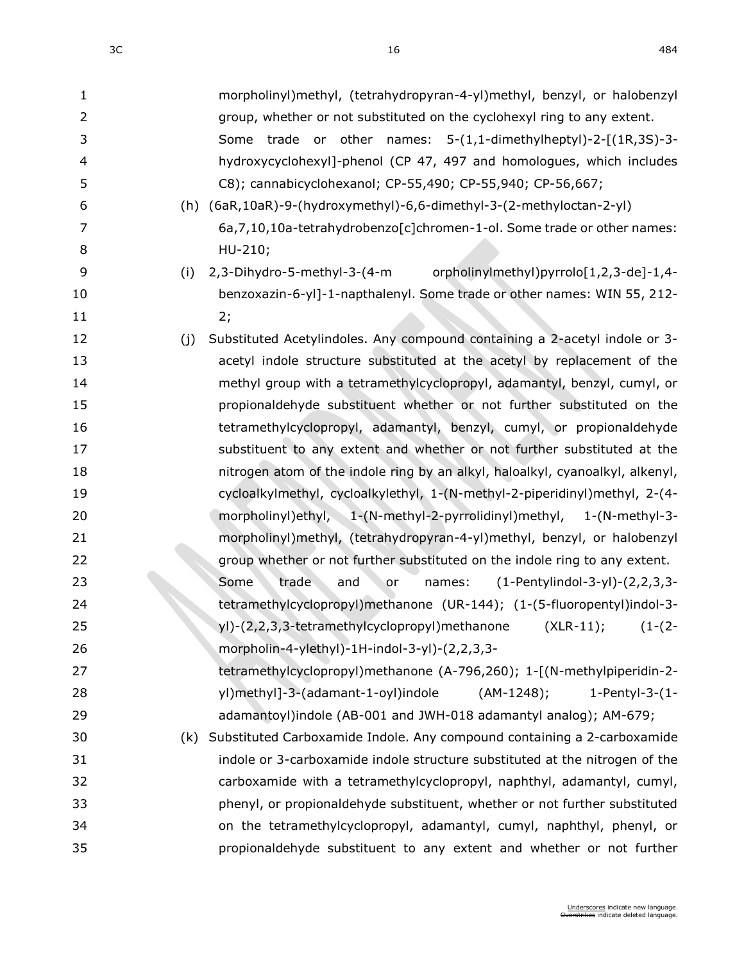| $\mathbf{1}$   | morpholinyl)methyl, (tetrahydropyran-4-yl)methyl, benzyl, or halobenzyl           |
|----------------|-----------------------------------------------------------------------------------|
| $\overline{2}$ | group, whether or not substituted on the cyclohexyl ring to any extent.           |
| 3              | Some trade or other names: 5-(1,1-dimethylheptyl)-2-[(1R,3S)-3-                   |
| 4              | hydroxycyclohexyl]-phenol (CP 47, 497 and homologues, which includes              |
| 5              | C8); cannabicyclohexanol; CP-55,490; CP-55,940; CP-56,667;                        |
| 6              | (h) (6aR,10aR)-9-(hydroxymethyl)-6,6-dimethyl-3-(2-methyloctan-2-yl)              |
| 7              | 6a, 7, 10, 10a-tetrahydrobenzo[c]chromen-1-ol. Some trade or other names:         |
| 8              | HU-210;                                                                           |
| 9              | 2,3-Dihydro-5-methyl-3-(4-m<br>orpholinylmethyl)pyrrolo[1,2,3-de]-1,4-<br>(i)     |
| 10             | benzoxazin-6-yl]-1-napthalenyl. Some trade or other names: WIN 55, 212-           |
| 11             | 2;                                                                                |
| 12             | Substituted Acetylindoles. Any compound containing a 2-acetyl indole or 3-<br>(j) |
| 13             | acetyl indole structure substituted at the acetyl by replacement of the           |
| 14             | methyl group with a tetramethylcyclopropyl, adamantyl, benzyl, cumyl, or          |
| 15             | propionaldehyde substituent whether or not further substituted on the             |
| 16             | tetramethylcyclopropyl, adamantyl, benzyl, cumyl, or propionaldehyde              |
| 17             | substituent to any extent and whether or not further substituted at the           |
| 18             | nitrogen atom of the indole ring by an alkyl, haloalkyl, cyanoalkyl, alkenyl,     |
| 19             | cycloalkylmethyl, cycloalkylethyl, 1-(N-methyl-2-piperidinyl)methyl, 2-(4-        |
| 20             | morpholinyl)ethyl, 1-(N-methyl-2-pyrrolidinyl)methyl, 1-(N-methyl-3-              |
| 21             | morpholinyl)methyl, (tetrahydropyran-4-yl)methyl, benzyl, or halobenzyl           |
| 22             | group whether or not further substituted on the indole ring to any extent.        |
| 23             | Some<br>trade<br>$(1-Perbylindol-3-yl)-(2,2,3,3-$<br>and<br>names:<br>۰or         |
| 24             | tetramethylcyclopropyl)methanone (UR-144); (1-(5-fluoropentyl)indol-3-            |
| 25             | yl)-(2,2,3,3-tetramethylcyclopropyl)methanone (XLR-11); (1-(2-                    |
| 26             | morpholin-4-ylethyl)-1H-indol-3-yl)-(2,2,3,3-                                     |
| 27             | tetramethylcyclopropyl)methanone (A-796,260); 1-[(N-methylpiperidin-2-            |
| 28             | yl)methyl]-3-(adamant-1-oyl)indole<br>$(AM-1248);$<br>1-Pentyl-3- $(1 -$          |
| 29             | adamantoyl)indole (AB-001 and JWH-018 adamantyl analog); AM-679;                  |
| 30             | Substituted Carboxamide Indole. Any compound containing a 2-carboxamide<br>(k)    |
| 31             | indole or 3-carboxamide indole structure substituted at the nitrogen of the       |
| 32             | carboxamide with a tetramethylcyclopropyl, naphthyl, adamantyl, cumyl,            |
| 33             | phenyl, or propionaldehyde substituent, whether or not further substituted        |
| 34             | on the tetramethylcyclopropyl, adamantyl, cumyl, naphthyl, phenyl, or             |
| 35             | propionaldehyde substituent to any extent and whether or not further              |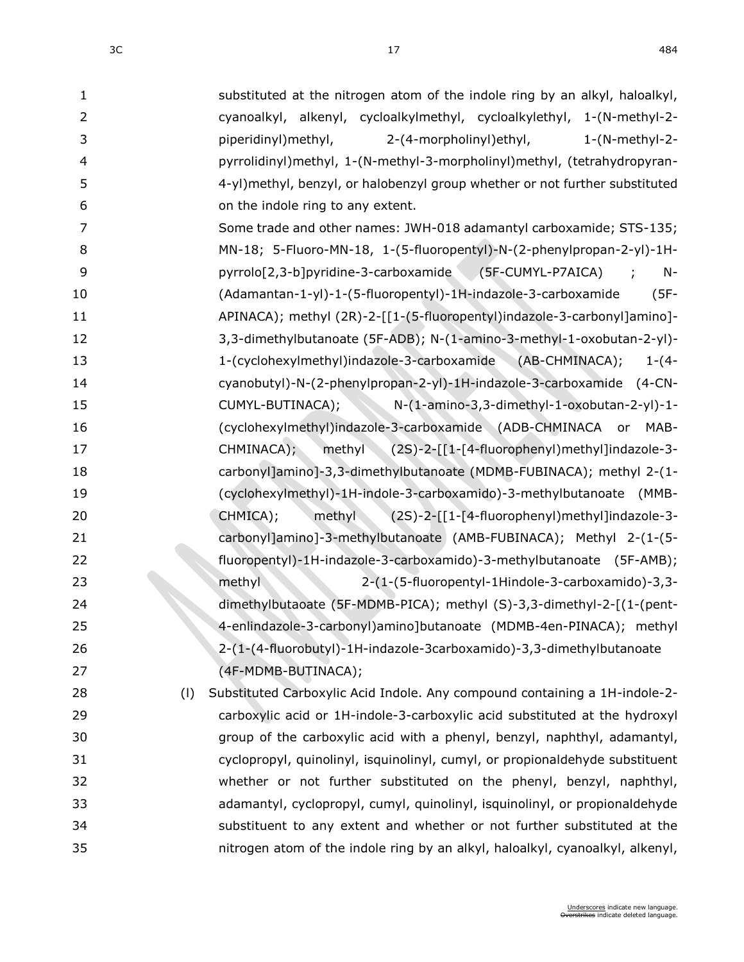| $\mathbf{1}$   | substituted at the nitrogen atom of the indole ring by an alkyl, haloalkyl,   |
|----------------|-------------------------------------------------------------------------------|
| $\overline{2}$ | cyanoalkyl, alkenyl, cycloalkylmethyl, cycloalkylethyl, 1-(N-methyl-2-        |
| 3              | piperidinyl) methyl,<br>2-(4-morpholinyl) ethyl,<br>$1-(N-methyl-2-$          |
| 4              | pyrrolidinyl)methyl, 1-(N-methyl-3-morpholinyl)methyl, (tetrahydropyran-      |
| 5              | 4-yl)methyl, benzyl, or halobenzyl group whether or not further substituted   |
| 6              | on the indole ring to any extent.                                             |
| 7              | Some trade and other names: JWH-018 adamantyl carboxamide; STS-135;           |
| 8              | MN-18; 5-Fluoro-MN-18, 1-(5-fluoropentyl)-N-(2-phenylpropan-2-yl)-1H-         |
| 9              | pyrrolo[2,3-b]pyridine-3-carboxamide (5F-CUMYL-P7AICA)<br>$N-$                |
| 10             | (Adamantan-1-yl)-1-(5-fluoropentyl)-1H-indazole-3-carboxamide<br>$(5F -$      |
| 11             | APINACA); methyl (2R)-2-[[1-(5-fluoropentyl)indazole-3-carbonyl]amino]-       |
| 12             | 3,3-dimethylbutanoate (5F-ADB); N-(1-amino-3-methyl-1-oxobutan-2-yl)-         |
| 13             | 1-(cyclohexylmethyl)indazole-3-carboxamide (AB-CHMINACA);<br>$1-(4-$          |
| 14             | cyanobutyl)-N-(2-phenylpropan-2-yl)-1H-indazole-3-carboxamide (4-CN-          |
| 15             | N-(1-amino-3,3-dimethyl-1-oxobutan-2-yl)-1-<br>CUMYL-BUTINACA);               |
| 16             | (cyclohexylmethyl)indazole-3-carboxamide (ADB-CHMINACA<br>MAB-<br>or          |
| 17             | methyl (2S)-2-[[1-[4-fluorophenyl)methyl]indazole-3-<br>CHMINACA);            |
| 18             | carbonyl]amino]-3,3-dimethylbutanoate (MDMB-FUBINACA); methyl 2-(1-           |
| 19             | (cyclohexylmethyl)-1H-indole-3-carboxamido)-3-methylbutanoate (MMB-           |
| 20             | CHMICA);<br>methyl<br>(2S)-2-[[1-[4-fluorophenyl)methyl]indazole-3-           |
| 21             | carbonyl]amino]-3-methylbutanoate (AMB-FUBINACA); Methyl 2-(1-(5-             |
| 22             | fluoropentyl)-1H-indazole-3-carboxamido)-3-methylbutanoate (5F-AMB);          |
| 23             | methyl<br>2-(1-(5-fluoropentyl-1Hindole-3-carboxamido)-3,3-                   |
| 24             | dimethylbutaoate (5F-MDMB-PICA); methyl (S)-3,3-dimethyl-2-[(1-(pent-         |
| 25             | 4-enlindazole-3-carbonyl)amino]butanoate (MDMB-4en-PINACA); methyl            |
| 26             | 2-(1-(4-fluorobutyl)-1H-indazole-3carboxamido)-3,3-dimethylbutanoate          |
| 27             | (4F-MDMB-BUTINACA);                                                           |
| 28<br>(1)      | Substituted Carboxylic Acid Indole. Any compound containing a 1H-indole-2-    |
| 29             | carboxylic acid or 1H-indole-3-carboxylic acid substituted at the hydroxyl    |
| 30             | group of the carboxylic acid with a phenyl, benzyl, naphthyl, adamantyl,      |
| 31             | cyclopropyl, quinolinyl, isquinolinyl, cumyl, or propionaldehyde substituent  |
| 32             | whether or not further substituted on the phenyl, benzyl, naphthyl,           |
| 33             | adamantyl, cyclopropyl, cumyl, quinolinyl, isquinolinyl, or propionaldehyde   |
| 34             | substituent to any extent and whether or not further substituted at the       |
| 35             | nitrogen atom of the indole ring by an alkyl, haloalkyl, cyanoalkyl, alkenyl, |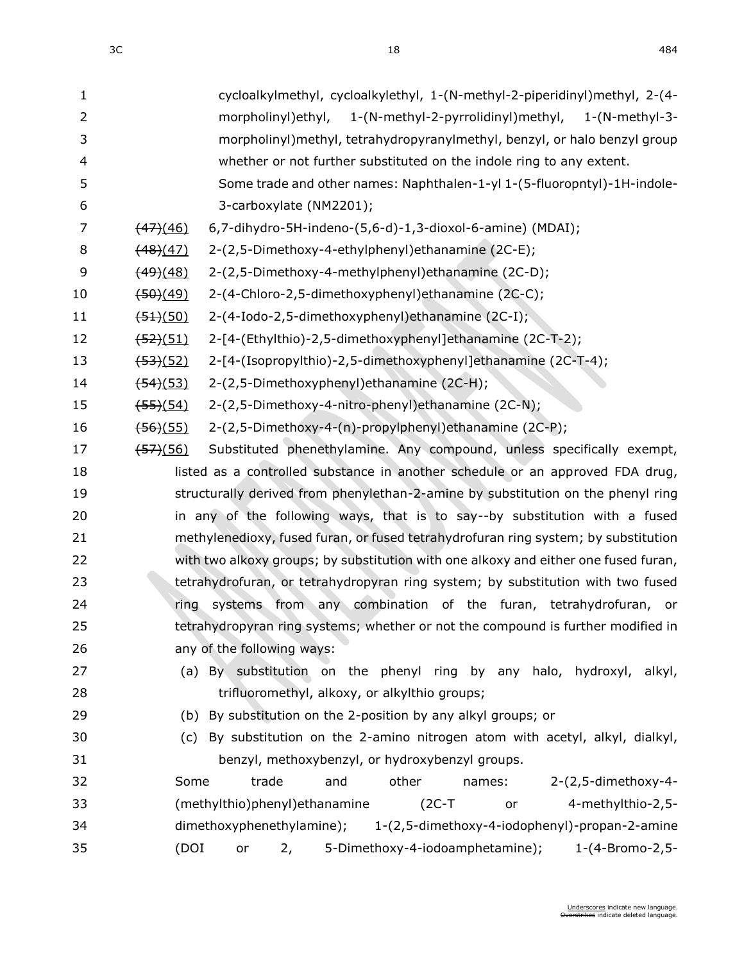| $\mathbf{1}$   | cycloalkylmethyl, cycloalkylethyl, 1-(N-methyl-2-piperidinyl)methyl, 2-(4-                    |
|----------------|-----------------------------------------------------------------------------------------------|
| $\overline{2}$ | morpholinyl)ethyl, 1-(N-methyl-2-pyrrolidinyl)methyl,<br>$1-(N-methyl-3-$                     |
| 3              | morpholinyl)methyl, tetrahydropyranylmethyl, benzyl, or halo benzyl group                     |
| 4              | whether or not further substituted on the indole ring to any extent.                          |
| 5              | Some trade and other names: Naphthalen-1-yl 1-(5-fluoropntyl)-1H-indole-                      |
| 6              | 3-carboxylate (NM2201);                                                                       |
| 7              | 6,7-dihydro-5H-indeno-(5,6-d)-1,3-dioxol-6-amine) (MDAI);<br>$\frac{(47)(46)}{47}$            |
| 8              | 2-(2,5-Dimethoxy-4-ethylphenyl)ethanamine (2C-E);<br>(48)(47)                                 |
| 9              | 2-(2,5-Dimethoxy-4-methylphenyl) ethanamine (2C-D);<br><del>(49)</del> (48)                   |
| 10             | 2-(4-Chloro-2,5-dimethoxyphenyl)ethanamine (2C-C);<br>$\frac{(50)(49)}{2}$                    |
| 11             | 2-(4-Iodo-2,5-dimethoxyphenyl)ethanamine (2C-I);<br>(51)(50)                                  |
| 12             | 2-[4-(Ethylthio)-2,5-dimethoxyphenyl]ethanamine (2C-T-2);<br>$\frac{(52)(51)}{2}$             |
| 13             | 2-[4-(Isopropylthio)-2,5-dimethoxyphenyl]ethanamine (2C-T-4);<br><del>(53)</del> (52)         |
| 14             | 2-(2,5-Dimethoxyphenyl)ethanamine (2C-H);<br>$\frac{(54)(53)}{2}$                             |
| 15             | 2-(2,5-Dimethoxy-4-nitro-phenyl)ethanamine (2C-N);<br><del>(55)</del> (54)                    |
| 16             | 2-(2,5-Dimethoxy-4-(n)-propylphenyl)ethanamine (2C-P);<br>$\frac{(56)(55)}{2}$                |
| 17             | Substituted phenethylamine. Any compound, unless specifically exempt,<br><del>(57)</del> (56) |
| 18             | listed as a controlled substance in another schedule or an approved FDA drug,                 |
| 19             | structurally derived from phenylethan-2-amine by substitution on the phenyl ring              |
| 20             | in any of the following ways, that is to say--by substitution with a fused                    |
| 21             | methylenedioxy, fused furan, or fused tetrahydrofuran ring system; by substitution            |
| 22             | with two alkoxy groups; by substitution with one alkoxy and either one fused furan,           |
| 23             | tetrahydrofuran, or tetrahydropyran ring system; by substitution with two fused               |
| 24             | systems from any combination of the furan, tetrahydrofuran, or<br>ring                        |
| 25             | tetrahydropyran ring systems; whether or not the compound is further modified in              |
| 26             | any of the following ways:                                                                    |
| 27             | (a) By substitution on the phenyl ring by any halo, hydroxyl, alkyl,                          |
| 28             | trifluoromethyl, alkoxy, or alkylthio groups;                                                 |
| 29             | (b) By substitution on the 2-position by any alkyl groups; or                                 |
| 30             | (c) By substitution on the 2-amino nitrogen atom with acetyl, alkyl, dialkyl,                 |
| 31             | benzyl, methoxybenzyl, or hydroxybenzyl groups.                                               |
| 32             | 2-(2,5-dimethoxy-4-<br>Some<br>trade<br>other<br>and<br>names:                                |
| 33             | 4-methylthio-2,5-<br>(methylthio)phenyl) ethanamine<br>$(2C-T)$<br>or                         |
| 34             | dimethoxyphenethylamine);<br>1-(2,5-dimethoxy-4-iodophenyl)-propan-2-amine                    |
| 35             | (DOI<br>5-Dimethoxy-4-iodoamphetamine);<br>1-(4-Bromo-2,5-<br>2,<br>or                        |
|                |                                                                                               |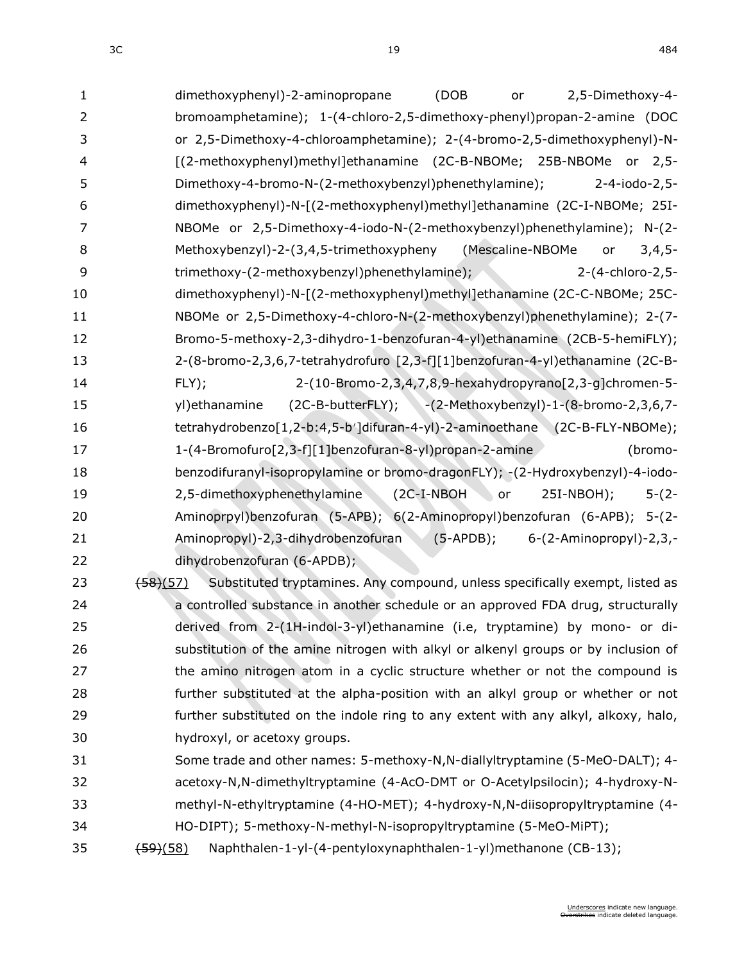$3C$  and  $484$ 

| $\mathbf{1}$             | (DOB<br>dimethoxyphenyl)-2-aminopropane<br>2,5-Dimethoxy-4-<br>or                                                |
|--------------------------|------------------------------------------------------------------------------------------------------------------|
| $\overline{2}$           | bromoamphetamine); 1-(4-chloro-2,5-dimethoxy-phenyl)propan-2-amine (DOC                                          |
| 3                        | or 2,5-Dimethoxy-4-chloroamphetamine); 2-(4-bromo-2,5-dimethoxyphenyl)-N-                                        |
| $\overline{\mathcal{L}}$ | [(2-methoxyphenyl)methyl]ethanamine (2C-B-NBOMe; 25B-NBOMe or 2,5-                                               |
| 5                        | Dimethoxy-4-bromo-N-(2-methoxybenzyl)phenethylamine);<br>2-4-iodo-2,5-                                           |
| 6                        | dimethoxyphenyl)-N-[(2-methoxyphenyl)methyl]ethanamine (2C-I-NBOMe; 25I-                                         |
| $\overline{7}$           | NBOMe or 2,5-Dimethoxy-4-iodo-N-(2-methoxybenzyl)phenethylamine); N-(2-                                          |
| 8                        | Methoxybenzyl)-2-(3,4,5-trimethoxypheny (Mescaline-NBOMe<br>$3,4,5-$<br>or                                       |
| 9                        | trimethoxy-(2-methoxybenzyl)phenethylamine);<br>2-(4-chloro-2,5-                                                 |
| 10                       | dimethoxyphenyl)-N-[(2-methoxyphenyl)methyl]ethanamine (2C-C-NBOMe; 25C-                                         |
| 11                       | NBOMe or 2,5-Dimethoxy-4-chloro-N-(2-methoxybenzyl)phenethylamine); 2-(7-                                        |
| 12                       | Bromo-5-methoxy-2,3-dihydro-1-benzofuran-4-yl)ethanamine (2CB-5-hemiFLY);                                        |
| 13                       | 2-(8-bromo-2,3,6,7-tetrahydrofuro [2,3-f][1]benzofuran-4-yl)ethanamine (2C-B-                                    |
| 14                       | 2-(10-Bromo-2,3,4,7,8,9-hexahydropyrano[2,3-g]chromen-5-<br>FLY);                                                |
| 15                       | (2C-B-butterFLY); -(2-Methoxybenzyl)-1-(8-bromo-2,3,6,7-<br>yl) ethanamine                                       |
| 16                       | tetrahydrobenzo[1,2-b:4,5-b']difuran-4-yl)-2-aminoethane (2C-B-FLY-NBOMe);                                       |
| 17                       | 1-(4-Bromofuro[2,3-f][1]benzofuran-8-yl)propan-2-amine<br>(bromo-                                                |
| 18                       | benzodifuranyl-isopropylamine or bromo-dragonFLY); -(2-Hydroxybenzyl)-4-iodo-                                    |
| 19                       | 2,5-dimethoxyphenethylamine<br>$5-(2-$<br>$(C - I - NBOH)$<br>or<br>$25I-NBOH);$                                 |
| 20                       | Aminoprpyl)benzofuran (5-APB); 6(2-Aminopropyl)benzofuran (6-APB); 5-(2-                                         |
| 21                       | Aminopropyl)-2,3-dihydrobenzofuran<br>$(5-APDB);$<br>6-(2-Aminopropyl)-2,3,-                                     |
| 22                       | dihydrobenzofuran (6-APDB);                                                                                      |
| 23                       | Substituted tryptamines. Any compound, unless specifically exempt, listed as<br>$\left(58\right)\left(57\right)$ |
| 24                       | a controlled substance in another schedule or an approved FDA drug, structurally                                 |
| 25                       | derived from 2-(1H-indol-3-yl)ethanamine (i.e, tryptamine) by mono- or di-                                       |
| 26                       | substitution of the amine nitrogen with alkyl or alkenyl groups or by inclusion of                               |
| 27                       | the amino nitrogen atom in a cyclic structure whether or not the compound is                                     |
| 28                       | further substituted at the alpha-position with an alkyl group or whether or not                                  |
| 29                       | further substituted on the indole ring to any extent with any alkyl, alkoxy, halo,                               |
| 30                       | hydroxyl, or acetoxy groups.                                                                                     |
| 31                       | Some trade and other names: 5-methoxy-N,N-diallyltryptamine (5-MeO-DALT); 4-                                     |
| 32                       | acetoxy-N,N-dimethyltryptamine (4-AcO-DMT or O-Acetylpsilocin); 4-hydroxy-N-                                     |
| 33                       | methyl-N-ethyltryptamine (4-HO-MET); 4-hydroxy-N,N-diisopropyltryptamine (4-                                     |
| 34                       | HO-DIPT); 5-methoxy-N-methyl-N-isopropyltryptamine (5-MeO-MiPT);                                                 |
| 35                       | Naphthalen-1-yl-(4-pentyloxynaphthalen-1-yl)methanone (CB-13);<br>$\frac{(59)(58)}{2}$                           |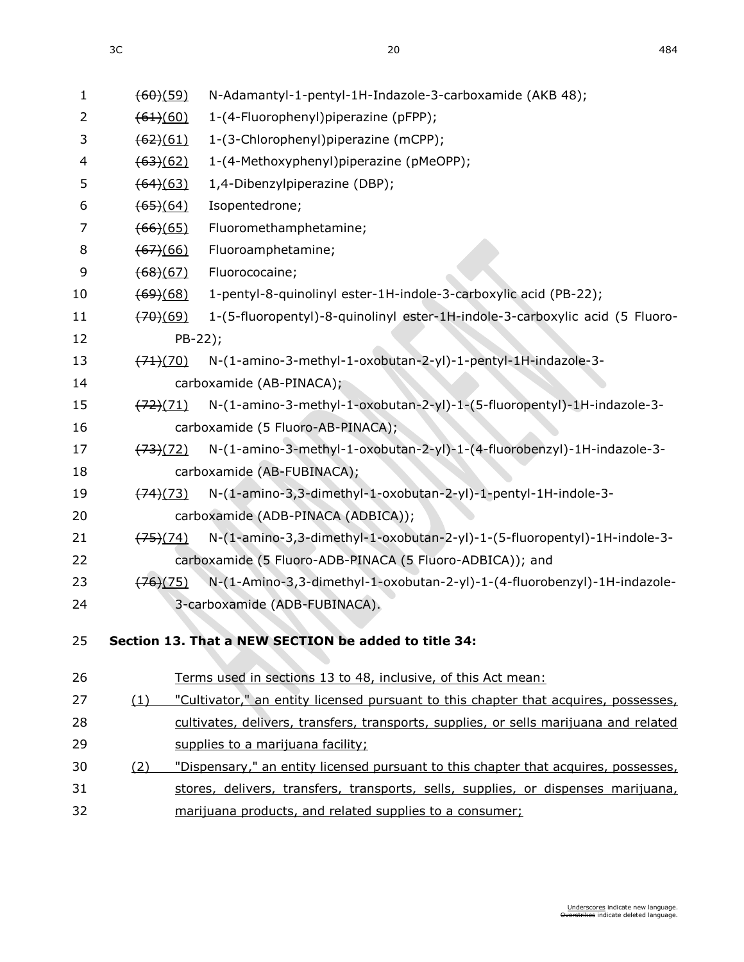| $\mathbf{1}$   | (60)(59)              | N-Adamantyl-1-pentyl-1H-Indazole-3-carboxamide (AKB 48);                              |
|----------------|-----------------------|---------------------------------------------------------------------------------------|
| $\overline{2}$ | (61)(60)              | 1-(4-Fluorophenyl)piperazine (pFPP);                                                  |
| 3              | $\frac{(62)(61)}{6}$  | 1-(3-Chlorophenyl)piperazine (mCPP);                                                  |
| 4              | (63)(62)              | 1-(4-Methoxyphenyl)piperazine (pMeOPP);                                               |
| 5              | (64)(63)              | 1,4-Dibenzylpiperazine (DBP);                                                         |
| 6              | $\frac{(65)(64)}{65}$ | Isopentedrone;                                                                        |
| 7              | (66)(65)              | Fluoromethamphetamine;                                                                |
| 8              | (67)(66)              | Fluoroamphetamine;                                                                    |
| 9              | (68)(67)              | Fluorococaine;                                                                        |
| 10             | $\frac{(69)(68)}{69}$ | 1-pentyl-8-quinolinyl ester-1H-indole-3-carboxylic acid (PB-22);                      |
| 11             | (70)(69)              | 1-(5-fluoropentyl)-8-quinolinyl ester-1H-indole-3-carboxylic acid (5 Fluoro-          |
| 12             | $PB-22$ );            |                                                                                       |
| 13             | (71)(70)              | N-(1-amino-3-methyl-1-oxobutan-2-yl)-1-pentyl-1H-indazole-3-                          |
| 14             |                       | carboxamide (AB-PINACA);                                                              |
| 15             | $\frac{(72)(71)}{7}$  | N-(1-amino-3-methyl-1-oxobutan-2-yl)-1-(5-fluoropentyl)-1H-indazole-3-                |
| 16             |                       | carboxamide (5 Fluoro-AB-PINACA);                                                     |
| 17             | (73)(72)              | N-(1-amino-3-methyl-1-oxobutan-2-yl)-1-(4-fluorobenzyl)-1H-indazole-3-                |
| 18             |                       | carboxamide (AB-FUBINACA);                                                            |
| 19             | (74)(73)              | N-(1-amino-3,3-dimethyl-1-oxobutan-2-yl)-1-pentyl-1H-indole-3-                        |
| 20             |                       | carboxamide (ADB-PINACA (ADBICA));                                                    |
| 21             | $\frac{(75)(74)}{2}$  | N-(1-amino-3,3-dimethyl-1-oxobutan-2-yl)-1-(5-fluoropentyl)-1H-indole-3-              |
| 22             |                       | carboxamide (5 Fluoro-ADB-PINACA (5 Fluoro-ADBICA)); and                              |
| 23             | (76)(75)              | N-(1-Amino-3,3-dimethyl-1-oxobutan-2-yl)-1-(4-fluorobenzyl)-1H-indazole-              |
| 24             |                       | 3-carboxamide (ADB-FUBINACA).                                                         |
|                |                       |                                                                                       |
| 25             |                       | Section 13. That a NEW SECTION be added to title 34:                                  |
| 26             |                       | Terms used in sections 13 to 48, inclusive, of this Act mean:                         |
| 27             | (1)                   | "Cultivator," an entity licensed pursuant to this chapter that acquires, possesses,   |
| 28             |                       | cultivates, delivers, transfers, transports, supplies, or sells marijuana and related |
| 29             |                       | supplies to a marijuana facility;                                                     |
| 30             | (2)                   | "Dispensary," an entity licensed pursuant to this chapter that acquires, possesses,   |
| 31             |                       | stores, delivers, transfers, transports, sells, supplies, or dispenses marijuana,     |
| 32             |                       | marijuana products, and related supplies to a consumer;                               |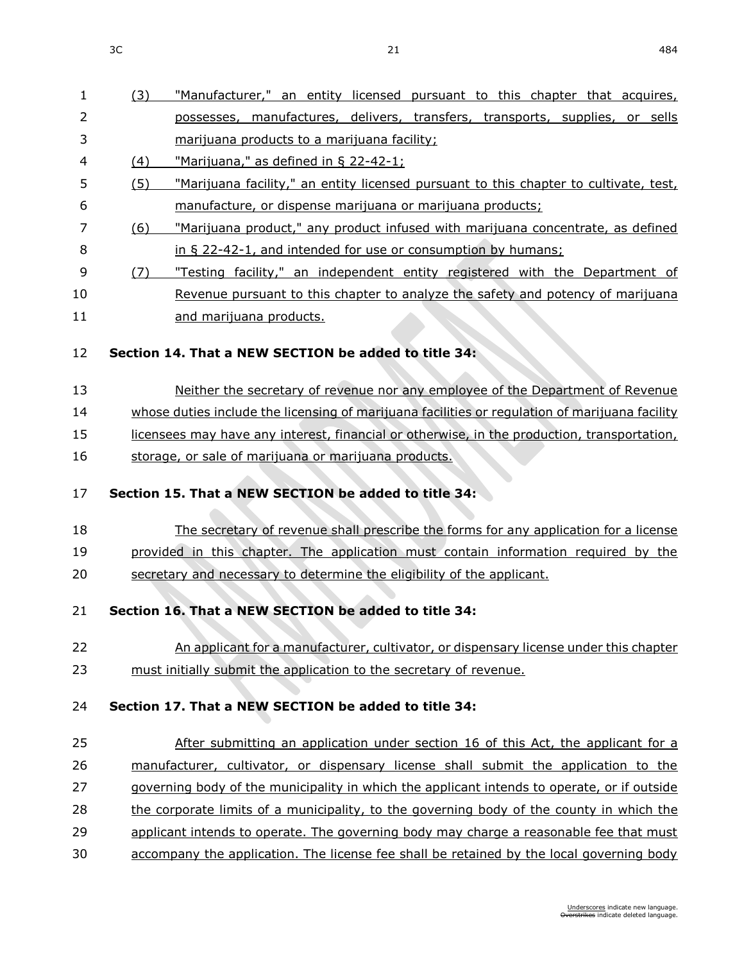| 2                                                  | (3) | "Manufacturer," an entity licensed pursuant to this chapter that acquires,                     |
|----------------------------------------------------|-----|------------------------------------------------------------------------------------------------|
|                                                    |     | possesses, manufactures, delivers, transfers, transports, supplies, or sells                   |
| 3                                                  |     | marijuana products to a marijuana facility;                                                    |
| 4                                                  | (4) | "Marijuana," as defined in § 22-42-1;                                                          |
| 5                                                  | (5) | "Marijuana facility," an entity licensed pursuant to this chapter to cultivate, test,          |
| 6                                                  |     | manufacture, or dispense marijuana or marijuana products;                                      |
| 7                                                  | (6) | "Marijuana product," any product infused with marijuana concentrate, as defined                |
| 8                                                  |     | in § 22-42-1, and intended for use or consumption by humans;                                   |
| 9                                                  | (7) | "Testing facility," an independent entity registered with the Department of                    |
| 10                                                 |     | Revenue pursuant to this chapter to analyze the safety and potency of marijuana                |
| 11                                                 |     | and marijuana products.                                                                        |
| 12                                                 |     | Section 14. That a NEW SECTION be added to title 34:                                           |
| 13                                                 |     | Neither the secretary of revenue nor any employee of the Department of Revenue                 |
| 14                                                 |     | whose duties include the licensing of marijuana facilities or regulation of marijuana facility |
| 15                                                 |     | licensees may have any interest, financial or otherwise, in the production, transportation,    |
| 16                                                 |     | storage, or sale of marijuana or marijuana products.                                           |
| 17                                                 |     | Section 15. That a NEW SECTION be added to title 34:                                           |
| 18                                                 |     | The secretary of revenue shall prescribe the forms for any application for a license           |
| 19                                                 |     | provided in this chapter. The application must contain information required by the             |
| 20                                                 |     | secretary and necessary to determine the eligibility of the applicant.                         |
| 21                                                 |     |                                                                                                |
|                                                    |     | Section 16. That a NEW SECTION be added to title 34:                                           |
|                                                    |     | An applicant for a manufacturer, cultivator, or dispensary license under this chapter          |
|                                                    |     | must initially submit the application to the secretary of revenue.                             |
|                                                    |     | Section 17. That a NEW SECTION be added to title 34:                                           |
|                                                    |     | After submitting an application under section 16 of this Act, the applicant for a              |
|                                                    |     | manufacturer, cultivator, or dispensary license shall submit the application to the            |
|                                                    |     | governing body of the municipality in which the applicant intends to operate, or if outside    |
|                                                    |     | the corporate limits of a municipality, to the governing body of the county in which the       |
|                                                    |     | applicant intends to operate. The governing body may charge a reasonable fee that must         |
| 22<br>23<br>24<br>25<br>26<br>27<br>28<br>29<br>30 |     | accompany the application. The license fee shall be retained by the local governing body       |
|                                                    |     | Underscores indicate new language.                                                             |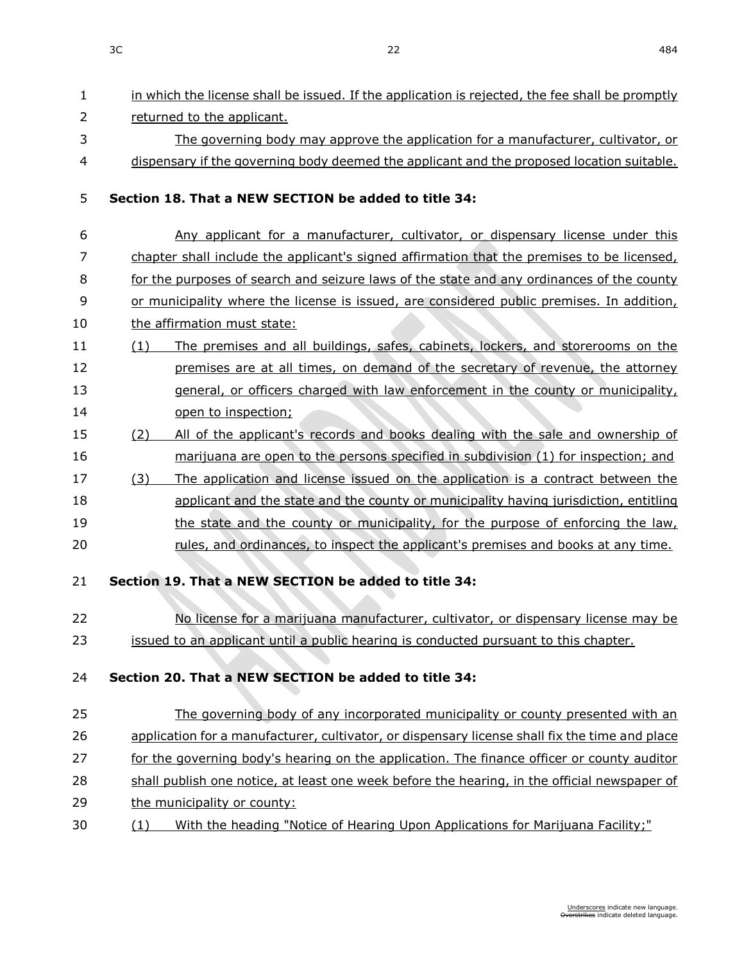| $\mathbf{1}$   | in which the license shall be issued. If the application is rejected, the fee shall be promptly |
|----------------|-------------------------------------------------------------------------------------------------|
| $\overline{2}$ | returned to the applicant.                                                                      |
| 3              | The governing body may approve the application for a manufacturer, cultivator, or               |
| 4              | dispensary if the governing body deemed the applicant and the proposed location suitable.       |
| 5              | Section 18. That a NEW SECTION be added to title 34:                                            |
| 6              | Any applicant for a manufacturer, cultivator, or dispensary license under this                  |
| 7              | chapter shall include the applicant's signed affirmation that the premises to be licensed,      |
| 8              | for the purposes of search and seizure laws of the state and any ordinances of the county       |
| 9              | or municipality where the license is issued, are considered public premises. In addition,       |
| 10             | the affirmation must state:                                                                     |
| 11             | The premises and all buildings, safes, cabinets, lockers, and storerooms on the<br>(1)          |
| 12             | premises are at all times, on demand of the secretary of revenue, the attorney                  |
| 13             | general, or officers charged with law enforcement in the county or municipality,                |
| 14             | open to inspection;                                                                             |
| 15             | All of the applicant's records and books dealing with the sale and ownership of<br>(2)          |
| 16             | marijuana are open to the persons specified in subdivision (1) for inspection; and              |
| 17             | The application and license issued on the application is a contract between the<br>(3)          |
| 18             | applicant and the state and the county or municipality having jurisdiction, entitling           |
| 19             | the state and the county or municipality, for the purpose of enforcing the law,                 |
| 20             | rules, and ordinances, to inspect the applicant's premises and books at any time.               |
| 21             | Section 19. That a NEW SECTION be added to title 34:                                            |
| 22             | No license for a marijuana manufacturer, cultivator, or dispensary license may be               |
| 23             | issued to an applicant until a public hearing is conducted pursuant to this chapter.            |
| 24             | Section 20. That a NEW SECTION be added to title 34:                                            |
| 25             | The governing body of any incorporated municipality or county presented with an                 |
| 26             | application for a manufacturer, cultivator, or dispensary license shall fix the time and place  |
| 27             | for the governing body's hearing on the application. The finance officer or county auditor      |
| 28             | shall publish one notice, at least one week before the hearing, in the official newspaper of    |
| 29             | the municipality or county:                                                                     |
| 30             | With the heading "Notice of Hearing Upon Applications for Marijuana Facility;"<br>(1)           |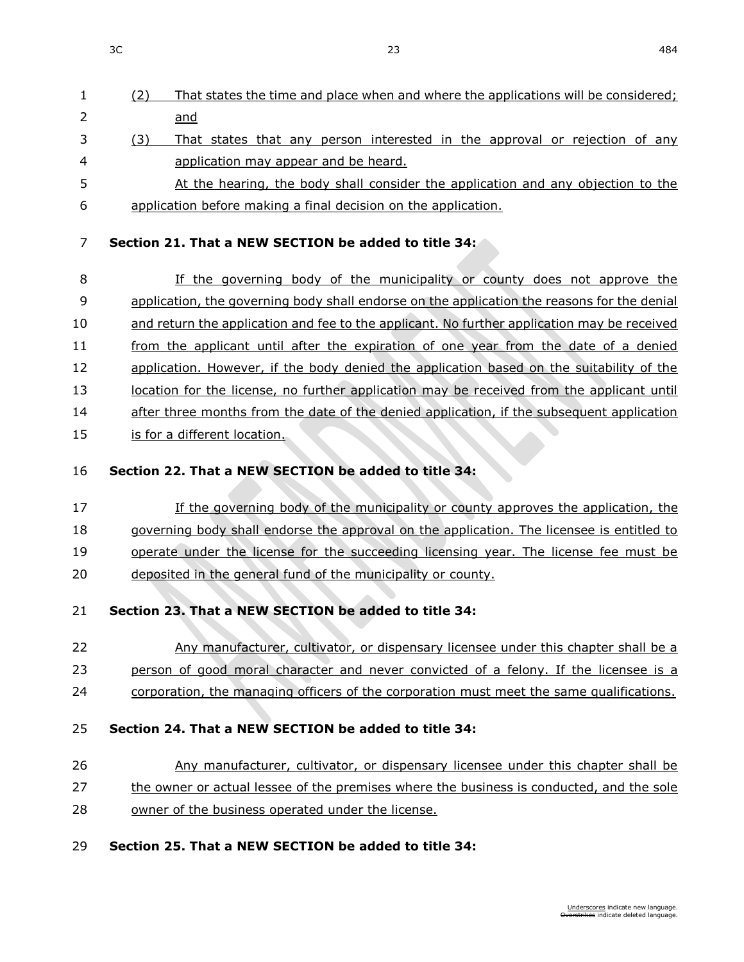- (2) That states the time and place when and where the applications will be considered; and
- 3 (3) That states that any person interested in the approval or rejection of any application may appear and be heard.
- 5 At the hearing, the body shall consider the application and any objection to the application before making a final decision on the application.

## **Section 21. That a NEW SECTION be added to title 34:**

 If the governing body of the municipality or county does not approve the application, the governing body shall endorse on the application the reasons for the denial and return the application and fee to the applicant. No further application may be received from the applicant until after the expiration of one year from the date of a denied 12 application. However, if the body denied the application based on the suitability of the 13 location for the license, no further application may be received from the applicant until after three months from the date of the denied application, if the subsequent application 15 is for a different location.

## **Section 22. That a NEW SECTION be added to title 34:**

 If the governing body of the municipality or county approves the application, the 18 governing body shall endorse the approval on the application. The licensee is entitled to operate under the license for the succeeding licensing year. The license fee must be deposited in the general fund of the municipality or county.

## **Section 23. That a NEW SECTION be added to title 34:**

- Any manufacturer, cultivator, or dispensary licensee under this chapter shall be a person of good moral character and never convicted of a felony. If the licensee is a
- corporation, the managing officers of the corporation must meet the same qualifications.

### **Section 24. That a NEW SECTION be added to title 34:**

# Any manufacturer, cultivator, or dispensary licensee under this chapter shall be

- 27 the owner or actual lessee of the premises where the business is conducted, and the sole
- owner of the business operated under the license.

### **Section 25. That a NEW SECTION be added to title 34:**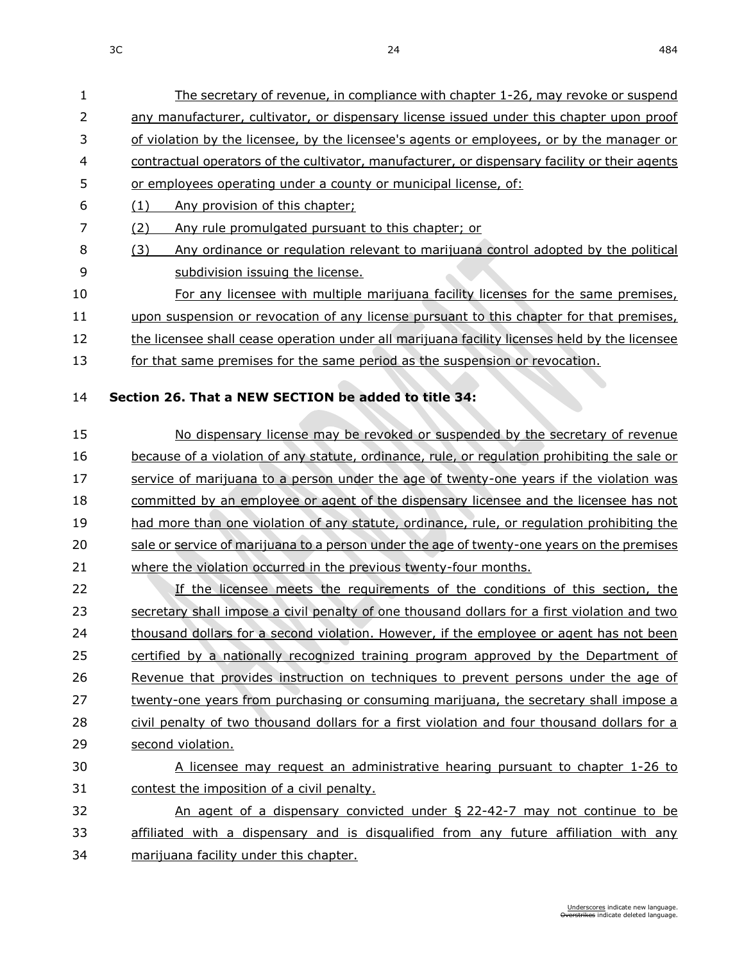The secretary of revenue, in compliance with chapter [1-26,](https://sdlegislature.gov/Statutes?Statute=1-26) may revoke or suspend 2 any manufacturer, cultivator, or dispensary license issued under this chapter upon proof of violation by the licensee, by the licensee's agents or employees, or by the manager or contractual operators of the cultivator, manufacturer, or dispensary facility or their agents

| 5  | or employees operating under a county or municipal license, of:                               |
|----|-----------------------------------------------------------------------------------------------|
| 6  | (1)<br>Any provision of this chapter;                                                         |
| 7  | Any rule promulgated pursuant to this chapter; or<br>(2)                                      |
| 8  | Any ordinance or regulation relevant to marijuana control adopted by the political<br>(3)     |
| 9  | subdivision issuing the license.                                                              |
| 10 | For any licensee with multiple marijuana facility licenses for the same premises,             |
| 11 | upon suspension or revocation of any license pursuant to this chapter for that premises,      |
| 12 | the licensee shall cease operation under all marijuana facility licenses held by the licensee |
| 13 | for that same premises for the same period as the suspension or revocation.                   |
|    |                                                                                               |
| 14 | Section 26. That a NEW SECTION be added to title 34:                                          |
| 15 | No dispensary license may be revoked or suspended by the secretary of revenue                 |
| 16 | because of a violation of any statute, ordinance, rule, or regulation prohibiting the sale or |
| 17 | service of marijuana to a person under the age of twenty-one years if the violation was       |
| 18 | committed by an employee or agent of the dispensary licensee and the licensee has not         |
| 19 | had more than one violation of any statute, ordinance, rule, or regulation prohibiting the    |
| 20 | sale or service of marijuana to a person under the age of twenty-one years on the premises    |
| 21 | where the violation occurred in the previous twenty-four months.                              |
| 22 | If the licensee meets the requirements of the conditions of this section, the                 |
| 23 | secretary shall impose a civil penalty of one thousand dollars for a first violation and two  |
| 24 | thousand dollars for a second violation. However, if the employee or agent has not been       |
| 25 | certified by a nationally recognized training program approved by the Department of           |
| 26 | Revenue that provides instruction on techniques to prevent persons under the age of           |
| 27 | twenty-one years from purchasing or consuming marijuana, the secretary shall impose a         |
| 28 | civil penalty of two thousand dollars for a first violation and four thousand dollars for a   |
| 29 | second violation.                                                                             |
| 30 | A licensee may request an administrative hearing pursuant to chapter 1-26 to                  |
| 31 | contest the imposition of a civil penalty.                                                    |
| 32 | An agent of a dispensary convicted under § 22-42-7 may not continue to be                     |

- 
- 
- 
- 
- 13 for that same premises for the same period as the suspension or revocation.
- 14 **Section 26. That a NEW SECTION be added to title 34:**
- 15 No dispensary license may be revoked or suspended by the secretary of revenue 16 because of a violation of any statute, ordinance, rule, or regulation prohibiting the sale or 17 service of marijuana to a person under the age of twenty-one years if the violation was 18 committed by an employee or agent of the dispensary licensee and the licensee has not 19 had more than one violation of any statute, ordinance, rule, or regulation prohibiting the 20 sale or service of marijuana to a person under the age of twenty-one years on the premises 21 where the violation occurred in the previous twenty-four months.
- 23 secretary shall impose a civil penalty of one thousand dollars for a first violation and two 24 thousand dollars for a second violation. However, if the employee or agent has not been 25 certified by a nationally recognized training program approved by the Department of 26 Revenue that provides instruction on techniques to prevent persons under the age of 27 twenty-one years from purchasing or consuming marijuana, the secretary shall impose a 28 civil penalty of two thousand dollars for a first violation and four thousand dollars for a 29 second violation.
- 31 contest the imposition of a civil penalty.
- 33 affiliated with a dispensary and is disqualified from any future affiliation with any 34 marijuana facility under this chapter.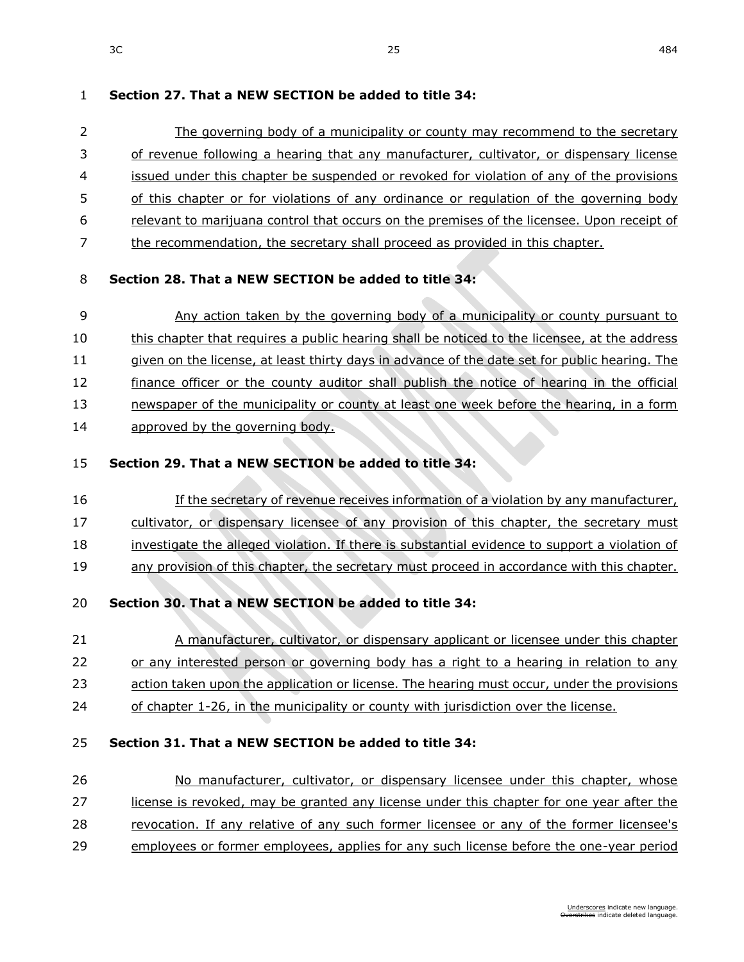# **Section 27. That a NEW SECTION be added to title 34:**

 The governing body of a municipality or county may recommend to the secretary of revenue following a hearing that any manufacturer, cultivator, or dispensary license issued under this chapter be suspended or revoked for violation of any of the provisions 5 of this chapter or for violations of any ordinance or regulation of the governing body relevant to marijuana control that occurs on the premises of the licensee. Upon receipt of the recommendation, the secretary shall proceed as provided in this chapter.

# **Section 28. That a NEW SECTION be added to title 34:**

 Any action taken by the governing body of a municipality or county pursuant to this chapter that requires a public hearing shall be noticed to the licensee, at the address 11 given on the license, at least thirty days in advance of the date set for public hearing. The 12 finance officer or the county auditor shall publish the notice of hearing in the official newspaper of the municipality or county at least one week before the hearing, in a form approved by the governing body.

# **Section 29. That a NEW SECTION be added to title 34:**

- If the secretary of revenue receives information of a violation by any manufacturer,
- cultivator, or dispensary licensee of any provision of this chapter, the secretary must
- investigate the alleged violation. If there is substantial evidence to support a violation of
- any provision of this chapter, the secretary must proceed in accordance with this chapter.
- **Section 30. That a NEW SECTION be added to title 34:**
- 21 A manufacturer, cultivator, or dispensary applicant or licensee under this chapter or any interested person or governing body has a right to a hearing in relation to any
- action taken upon the application or license. The hearing must occur, under the provisions
- 24 of chapter [1-26,](https://sdlegislature.gov/Statutes?Statute=1-26) in the municipality or county with jurisdiction over the license.

# **Section 31. That a NEW SECTION be added to title 34:**

 No manufacturer, cultivator, or dispensary licensee under this chapter, whose license is revoked, may be granted any license under this chapter for one year after the revocation. If any relative of any such former licensee or any of the former licensee's employees or former employees, applies for any such license before the one-year period

 $3C$  25 484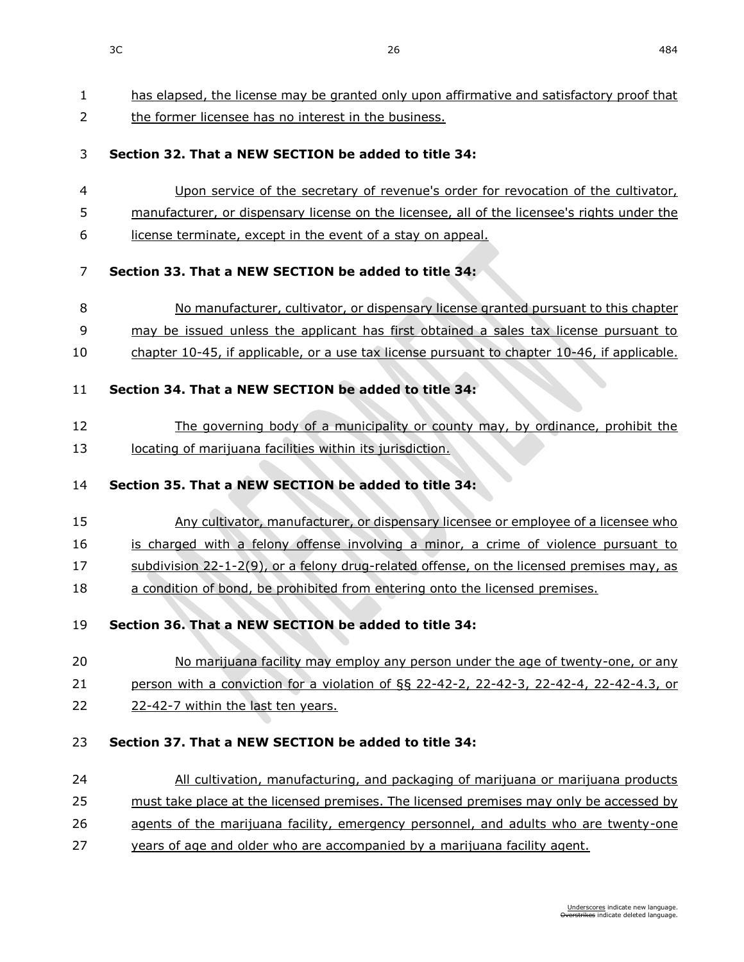has elapsed, the license may be granted only upon affirmative and satisfactory proof that

2 the former licensee has no interest in the business. **Section 32. That a NEW SECTION be added to title 34:** Upon service of the secretary of revenue's order for revocation of the cultivator, 5 manufacturer, or dispensary license on the licensee, all of the licensee's rights under the license terminate, except in the event of a stay on appeal. **Section 33. That a NEW SECTION be added to title 34:** No manufacturer, cultivator, or dispensary license granted pursuant to this chapter may be issued unless the applicant has first obtained a sales tax license pursuant to chapter [10-45,](https://sdlegislature.gov/Statutes?Statute=10-45) if applicable, or a use tax license pursuant to chapter [10-46,](https://sdlegislature.gov/Statutes?Statute=10-46) if applicable. **Section 34. That a NEW SECTION be added to title 34:** The governing body of a municipality or county may, by ordinance, prohibit the 13 locating of marijuana facilities within its jurisdiction. **Section 35. That a NEW SECTION be added to title 34:** Any cultivator, manufacturer, or dispensary licensee or employee of a licensee who is charged with a felony offense involving a minor, a crime of violence pursuant to subdivision [22-1-2\(](https://sdlegislature.gov/Statutes?Statute=22-1-2)9), or a felony drug-related offense, on the licensed premises may, as 18 a condition of bond, be prohibited from entering onto the licensed premises. **Section 36. That a NEW SECTION be added to title 34:** 20 No marijuana facility may employ any person under the age of twenty-one, or any person with a conviction for a violation of §§ [22-42-2,](https://sdlegislature.gov/Statutes?Statute=22-42-2) [22-42-3,](https://sdlegislature.gov/Statutes?Statute=22-42-3) [22-42-4, 22-42-4.](https://sdlegislature.gov/Statutes?Statute=22-42-4)3, or [22-42-7](https://sdlegislature.gov/Statutes?Statute=22-42-7) within the last ten years. **Section 37. That a NEW SECTION be added to title 34:** All cultivation, manufacturing, and packaging of marijuana or marijuana products must take place at the licensed premises. The licensed premises may only be accessed by 26 agents of the marijuana facility, emergency personnel, and adults who are twenty-one years of age and older who are accompanied by a marijuana facility agent.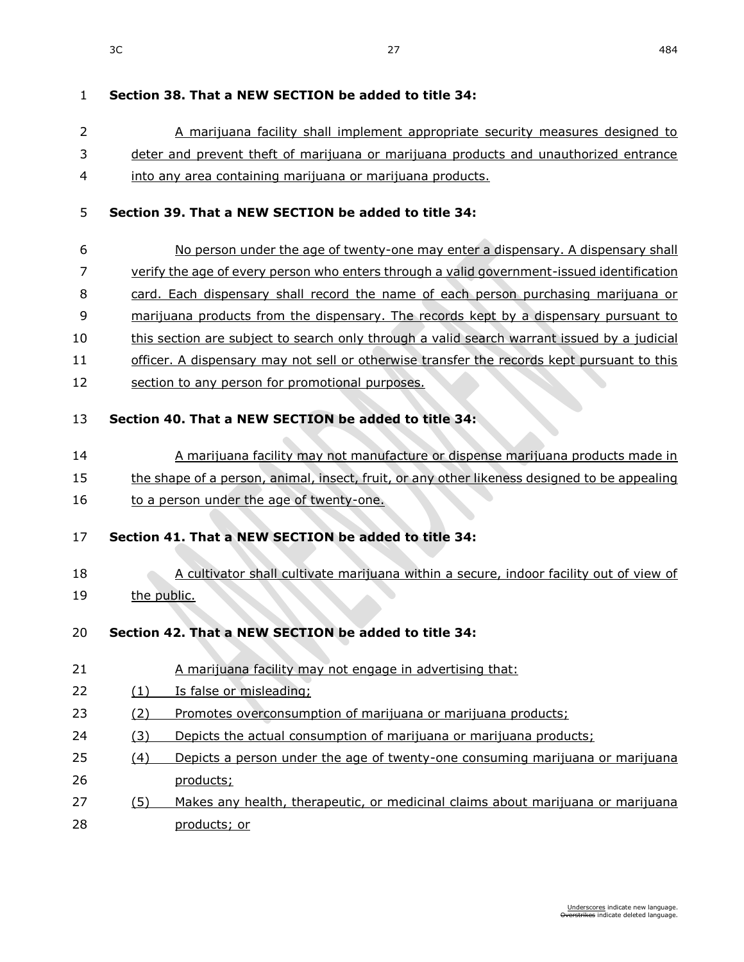#### $3C$  and  $27$  and  $27$  and  $27$  and  $284$

| $\mathbf{1}$ | Section 38. That a NEW SECTION be added to title 34:                                         |
|--------------|----------------------------------------------------------------------------------------------|
| 2            | A marijuana facility shall implement appropriate security measures designed to               |
| 3            | deter and prevent theft of marijuana or marijuana products and unauthorized entrance         |
| 4            | into any area containing marijuana or marijuana products.                                    |
| 5            | Section 39. That a NEW SECTION be added to title 34:                                         |
| 6            | No person under the age of twenty-one may enter a dispensary. A dispensary shall             |
| 7            | verify the age of every person who enters through a valid government-issued identification   |
| 8            | card. Each dispensary shall record the name of each person purchasing marijuana or           |
| 9            | marijuana products from the dispensary. The records kept by a dispensary pursuant to         |
| 10           | this section are subject to search only through a valid search warrant issued by a judicial  |
| 11           | officer. A dispensary may not sell or otherwise transfer the records kept pursuant to this   |
| 12           | section to any person for promotional purposes.                                              |
| 13           | Section 40. That a NEW SECTION be added to title 34:                                         |
| 14           | A marijuana facility may not manufacture or dispense marijuana products made in              |
| 15           | the shape of a person, animal, insect, fruit, or any other likeness designed to be appealing |
| 16           | to a person under the age of twenty-one.                                                     |
| 17           | Section 41. That a NEW SECTION be added to title 34:                                         |
| 18           | A cultivator shall cultivate marijuana within a secure, indoor facility out of view of       |
| 19           | the public.                                                                                  |
| 20           | Section 42. That a NEW SECTION be added to title 34:                                         |
| 21           | A marijuana facility may not engage in advertising that:                                     |
| 22           | Is false or misleading;<br>(1)                                                               |
| 23           | Promotes overconsumption of marijuana or marijuana products;<br>(2)                          |
| 24           | Depicts the actual consumption of marijuana or marijuana products;<br>(3)                    |
| 25           | Depicts a person under the age of twenty-one consuming marijuana or marijuana<br>(4)         |
| 26           | products;                                                                                    |
| 27           | Makes any health, therapeutic, or medicinal claims about marijuana or marijuana<br>(5)       |
| 28           | products; or                                                                                 |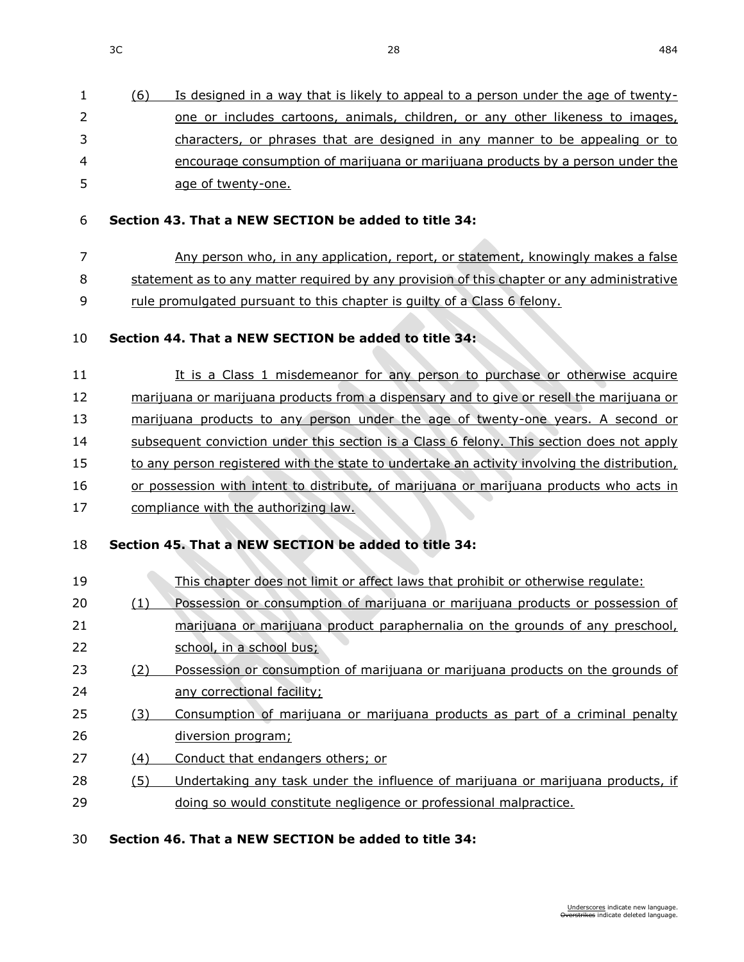|    | (6) | Is designed in a way that is likely to appeal to a person under the age of twenty- |
|----|-----|------------------------------------------------------------------------------------|
| 2  |     | one or includes cartoons, animals, children, or any other likeness to images,      |
| 3  |     | characters, or phrases that are designed in any manner to be appealing or to       |
| 4  |     | encourage consumption of marijuana or marijuana products by a person under the     |
| 5. |     | age of twenty-one.                                                                 |

#### **Section 43. That a NEW SECTION be added to title 34:**

Any person who, in any application, report, or statement, knowingly makes a false

statement as to any matter required by any provision of this chapter or any administrative

rule promulgated pursuant to this chapter is guilty of a Class 6 felony.

## **Section 44. That a NEW SECTION be added to title 34:**

11 It is a Class 1 misdemeanor for any person to purchase or otherwise acquire marijuana or marijuana products from a dispensary and to give or resell the marijuana or marijuana products to any person under the age of twenty-one years. A second or 14 subsequent conviction under this section is a Class 6 felony. This section does not apply 15 to any person registered with the state to undertake an activity involving the distribution, 16 or possession with intent to distribute, of marijuana or marijuana products who acts in 17 compliance with the authorizing law.

### **Section 45. That a NEW SECTION be added to title 34:**

**CONTRACTOR** 

| 19 |     | This chapter does not limit or affect laws that prohibit or otherwise regulate: |
|----|-----|---------------------------------------------------------------------------------|
| 20 | (1) | Possession or consumption of marijuana or marijuana products or possession of   |
| 21 |     | marijuana or marijuana product paraphernalia on the grounds of any preschool,   |
| 22 |     | school, in a school bus;                                                        |
| 23 | (2) | Possession or consumption of marijuana or marijuana products on the grounds of  |
| 24 |     | any correctional facility;                                                      |
| 25 | (3) | Consumption of marijuana or marijuana products as part of a criminal penalty    |
| 26 |     | diversion program;                                                              |
| 27 | (4) | Conduct that endangers others; or                                               |
| 28 | (5) | Undertaking any task under the influence of marijuana or marijuana products, if |
| 29 |     | doing so would constitute negligence or professional malpractice.               |
|    |     |                                                                                 |

### **Section 46. That a NEW SECTION be added to title 34:**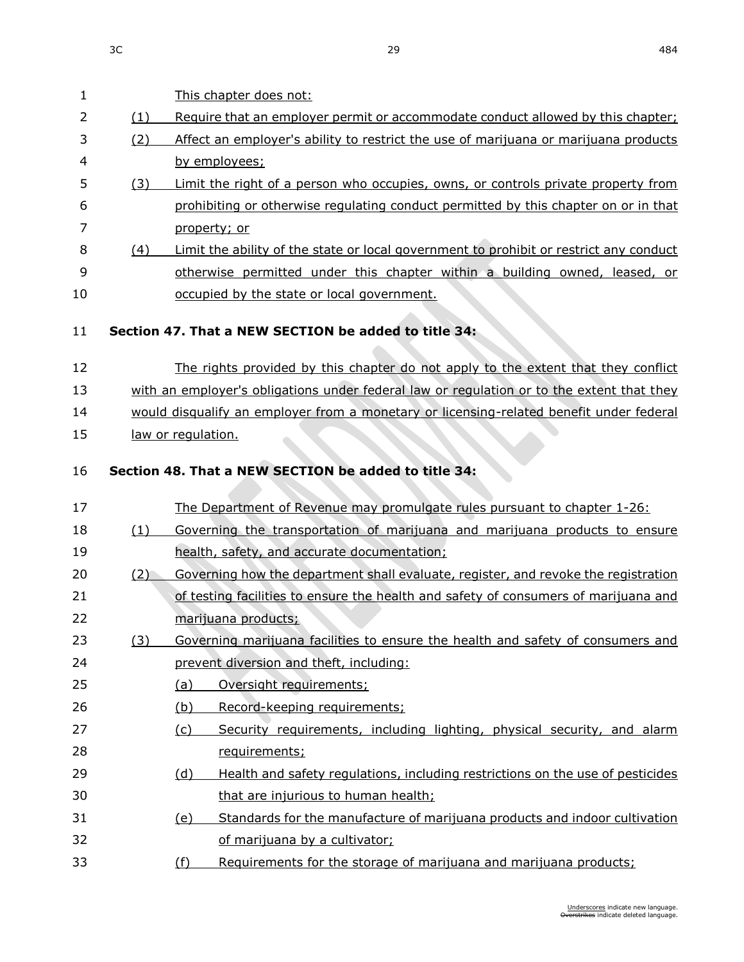This chapter does not:

2 (1) Require that an employer permit or accommodate conduct allowed by this chapter;

| 3  | (2) | Affect an employer's ability to restrict the use of marijuana or marijuana products       |
|----|-----|-------------------------------------------------------------------------------------------|
| 4  |     | by employees;                                                                             |
| 5  | (3) | Limit the right of a person who occupies, owns, or controls private property from         |
| 6  |     | prohibiting or otherwise regulating conduct permitted by this chapter on or in that       |
| 7  |     | property; or                                                                              |
| 8  | (4) | Limit the ability of the state or local government to prohibit or restrict any conduct    |
| 9  |     | otherwise permitted under this chapter within a building owned, leased, or                |
| 10 |     | occupied by the state or local government.                                                |
| 11 |     | Section 47. That a NEW SECTION be added to title 34:                                      |
| 12 |     | The rights provided by this chapter do not apply to the extent that they conflict         |
| 13 |     | with an employer's obligations under federal law or regulation or to the extent that they |
| 14 |     | would disqualify an employer from a monetary or licensing-related benefit under federal   |
| 15 |     | law or regulation.                                                                        |
| 16 |     | Section 48. That a NEW SECTION be added to title 34:                                      |
| 17 |     | The Department of Revenue may promulgate rules pursuant to chapter 1-26:                  |
| 18 | (1) | Governing the transportation of marijuana and marijuana products to ensure                |
| 19 |     | health, safety, and accurate documentation;                                               |
| 20 | (2) | Governing how the department shall evaluate, register, and revoke the registration        |
| 21 |     | of testing facilities to ensure the health and safety of consumers of marijuana and       |
| つつ |     | marijuana producte:                                                                       |

# **Section 47. That a NEW**

# **Section 48. That a NEV**

# 17 The Department of Revenue may promulgate rules pursuant to chapter [1-26:](https://sdlegislature.gov/Statutes?Statute=1-26) (1) Governing the transportation of marijuana and marijuana products to ensure 19 health, safety, 20 (2) Governing how the department shall evaluate, register, and revoke the registration of testing facilities to ensure the health and safety of consumers of marijuana and marijuana products; (3) Governing marijuana facilities to ensure the health and safety of consumers and prevent diversion and theft, including: (a) Oversight requirements; (b) Record-keeping requirements; (c) Security requirements, including lighting, physical security, and alarm requirements; 29 (d) Health and safety regulations, including restrictions on the use of pesticides that are injurious to human health; (e) Standards for the manufacture of marijuana products and indoor cultivation of marijuana by a cultivator; (f) Requirements for the storage of marijuana and marijuana products;